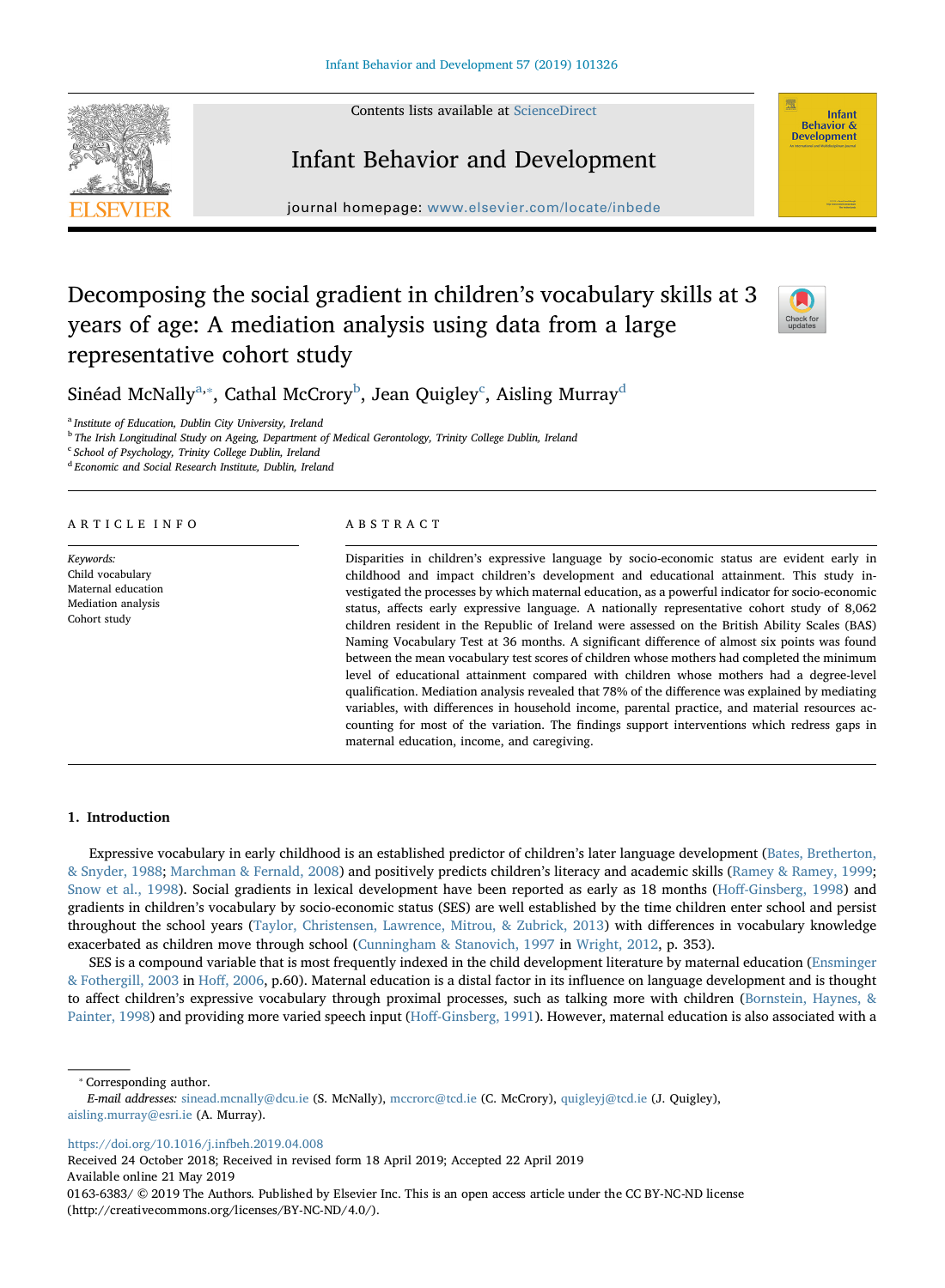Contents lists available at [ScienceDirect](http://www.sciencedirect.com/science/journal/01636383)





# Infant Behavior and Development

journal homepage: [www.elsevier.com/locate/inbede](https://www.elsevier.com/locate/inbede)

# Decomposing the social gradient in children's vocabulary skills at 3 years of age: A mediation analysis using data from a large representative cohort study



Sinéad M[c](#page-0-3)Nally $^{\mathrm{a},*}$ , Cathal McCrory $^{\mathrm{b}}$  $^{\mathrm{b}}$  $^{\mathrm{b}}$ , Jean Quigley $^{\mathrm{c}}$ , Aisling Murray $^{\mathrm{d}}$  $^{\mathrm{d}}$  $^{\mathrm{d}}$ 

<span id="page-0-0"></span><sup>a</sup> Institute of Education, Dublin City University, Ireland

<span id="page-0-2"></span><sup>b</sup> The Irish Longitudinal Study on Ageing, Department of Medical Gerontology, Trinity College Dublin, Ireland

<span id="page-0-3"></span><sup>c</sup> School of Psychology, Trinity College Dublin, Ireland

<span id="page-0-4"></span><sup>d</sup> Economic and Social Research Institute, Dublin, Ireland

# ARTICLE INFO

Keywords: Child vocabulary Maternal education Mediation analysis Cohort study

# ABSTRACT

Disparities in children's expressive language by socio-economic status are evident early in childhood and impact children's development and educational attainment. This study investigated the processes by which maternal education, as a powerful indicator for socio-economic status, affects early expressive language. A nationally representative cohort study of 8,062 children resident in the Republic of Ireland were assessed on the British Ability Scales (BAS) Naming Vocabulary Test at 36 months. A significant difference of almost six points was found between the mean vocabulary test scores of children whose mothers had completed the minimum level of educational attainment compared with children whose mothers had a degree-level qualification. Mediation analysis revealed that 78% of the difference was explained by mediating variables, with differences in household income, parental practice, and material resources accounting for most of the variation. The findings support interventions which redress gaps in maternal education, income, and caregiving.

# 1. Introduction

Expressive vocabulary in early childhood is an established predictor of children's later language development [\(Bates, Bretherton,](#page-11-0) [& Snyder, 1988;](#page-11-0) [Marchman & Fernald, 2008](#page-11-1)) and positively predicts children's literacy and academic skills [\(Ramey & Ramey, 1999;](#page-12-0) [Snow et al., 1998\)](#page-12-1). Social gradients in lexical development have been reported as early as 18 months (Hoff[-Ginsberg, 1998](#page-11-2)) and gradients in children's vocabulary by socio-economic status (SES) are well established by the time children enter school and persist throughout the school years [\(Taylor, Christensen, Lawrence, Mitrou, & Zubrick, 2013](#page-12-2)) with differences in vocabulary knowledge exacerbated as children move through school [\(Cunningham & Stanovich, 1997](#page-11-3) in [Wright, 2012](#page-12-3), p. 353).

SES is a compound variable that is most frequently indexed in the child development literature by maternal education ([Ensminger](#page-11-4) [& Fothergill, 2003](#page-11-4) in Hoff[, 2006](#page-11-5), p.60). Maternal education is a distal factor in its influence on language development and is thought to affect children's expressive vocabulary through proximal processes, such as talking more with children [\(Bornstein, Haynes, &](#page-11-6) [Painter, 1998\)](#page-11-6) and providing more varied speech input (Hoff[-Ginsberg, 1991](#page-11-7)). However, maternal education is also associated with a

<span id="page-0-1"></span>⁎ Corresponding author.

E-mail addresses: [sinead.mcnally@dcu.ie](mailto:sinead.mcnally@dcu.ie) (S. McNally), [mccrorc@tcd.ie](mailto:mccrorc@tcd.ie) (C. McCrory), [quigleyj@tcd.ie](mailto:quigleyj@tcd.ie) (J. Quigley), [aisling.murray@esri.ie](mailto:aisling.murray@esri.ie) (A. Murray).

<https://doi.org/10.1016/j.infbeh.2019.04.008>

Received 24 October 2018; Received in revised form 18 April 2019; Accepted 22 April 2019 Available online 21 May 2019

<sup>0163-6383/ © 2019</sup> The Authors. Published by Elsevier Inc. This is an open access article under the CC BY-NC-ND license (http://creativecommons.org/licenses/BY-NC-ND/4.0/).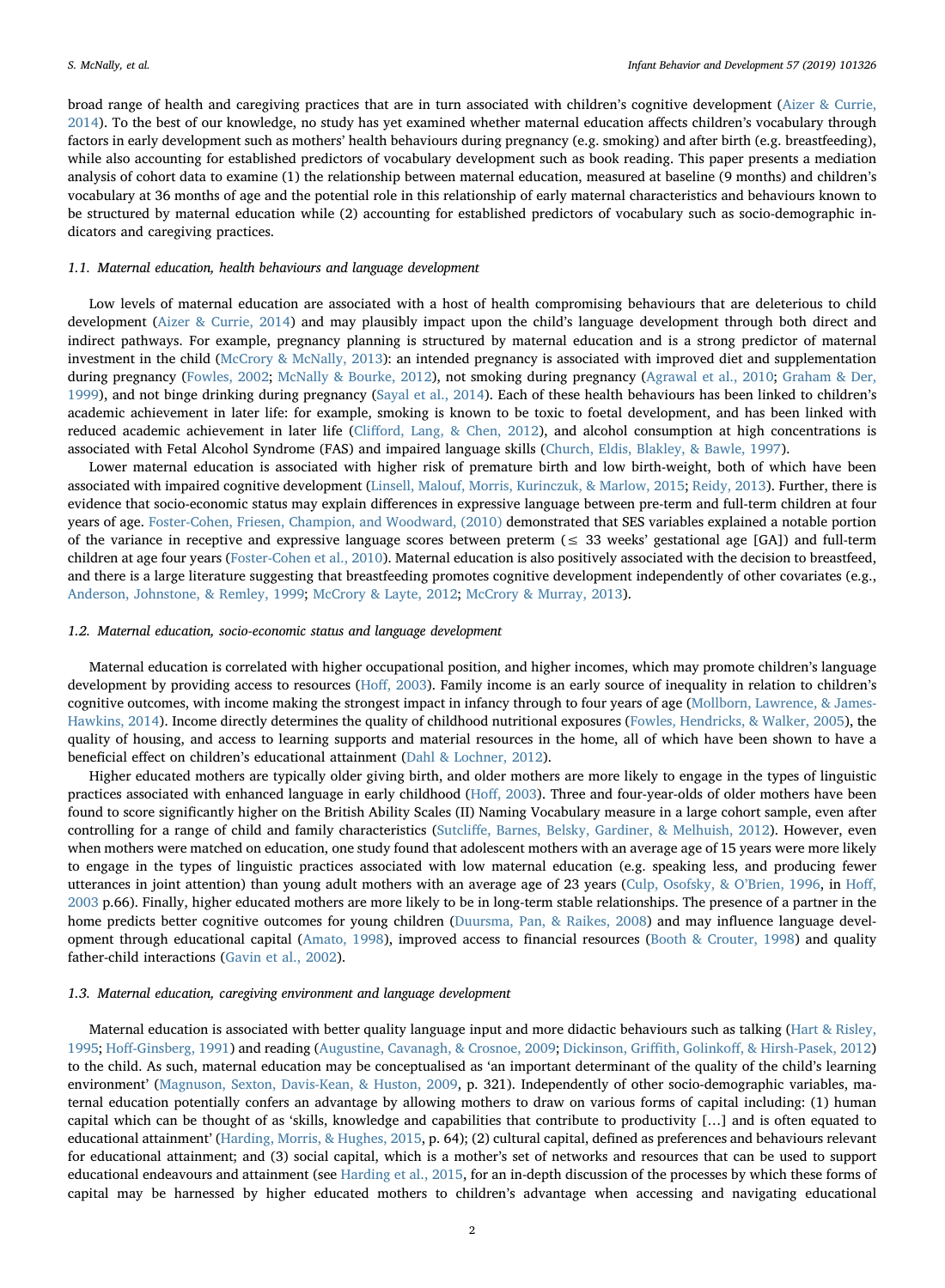broad range of health and caregiving practices that are in turn associated with children's cognitive development ([Aizer & Currie,](#page-11-8) [2014\)](#page-11-8). To the best of our knowledge, no study has yet examined whether maternal education affects children's vocabulary through factors in early development such as mothers' health behaviours during pregnancy (e.g. smoking) and after birth (e.g. breastfeeding), while also accounting for established predictors of vocabulary development such as book reading. This paper presents a mediation analysis of cohort data to examine (1) the relationship between maternal education, measured at baseline (9 months) and children's vocabulary at 36 months of age and the potential role in this relationship of early maternal characteristics and behaviours known to be structured by maternal education while (2) accounting for established predictors of vocabulary such as socio-demographic indicators and caregiving practices.

#### 1.1. Maternal education, health behaviours and language development

Low levels of maternal education are associated with a host of health compromising behaviours that are deleterious to child development ([Aizer & Currie, 2014](#page-11-8)) and may plausibly impact upon the child's language development through both direct and indirect pathways. For example, pregnancy planning is structured by maternal education and is a strong predictor of maternal investment in the child [\(McCrory & McNally, 2013\)](#page-12-4): an intended pregnancy is associated with improved diet and supplementation during pregnancy ([Fowles, 2002;](#page-11-9) [McNally & Bourke, 2012\)](#page-12-5), not smoking during pregnancy ([Agrawal et al., 2010;](#page-11-10) [Graham & Der,](#page-11-11) [1999\)](#page-11-11), and not binge drinking during pregnancy [\(Sayal et al., 2014](#page-12-6)). Each of these health behaviours has been linked to children's academic achievement in later life: for example, smoking is known to be toxic to foetal development, and has been linked with reduced academic achievement in later life (Cliff[ord, Lang, & Chen, 2012\)](#page-11-12), and alcohol consumption at high concentrations is associated with Fetal Alcohol Syndrome (FAS) and impaired language skills ([Church, Eldis, Blakley, & Bawle, 1997](#page-11-13)).

Lower maternal education is associated with higher risk of premature birth and low birth-weight, both of which have been associated with impaired cognitive development ([Linsell, Malouf, Morris, Kurinczuk, & Marlow, 2015;](#page-11-14) [Reidy, 2013\)](#page-12-7). Further, there is evidence that socio-economic status may explain differences in expressive language between pre-term and full-term children at four years of age. [Foster-Cohen, Friesen, Champion, and Woodward, \(2010\)](#page-11-15) demonstrated that SES variables explained a notable portion of the variance in receptive and expressive language scores between preterm ( $\leq$  33 weeks' gestational age [GA]) and full-term children at age four years ([Foster-Cohen et al., 2010\)](#page-11-15). Maternal education is also positively associated with the decision to breastfeed, and there is a large literature suggesting that breastfeeding promotes cognitive development independently of other covariates (e.g., [Anderson, Johnstone, & Remley, 1999;](#page-11-16) [McCrory & Layte, 2012;](#page-12-8) [McCrory & Murray, 2013\)](#page-12-9).

#### 1.2. Maternal education, socio-economic status and language development

Maternal education is correlated with higher occupational position, and higher incomes, which may promote children's language development by providing access to resources (Hoff[, 2003](#page-11-17)). Family income is an early source of inequality in relation to children's cognitive outcomes, with income making the strongest impact in infancy through to four years of age [\(Mollborn, Lawrence, & James-](#page-12-10)[Hawkins, 2014\)](#page-12-10). Income directly determines the quality of childhood nutritional exposures [\(Fowles, Hendricks, & Walker, 2005\)](#page-11-18), the quality of housing, and access to learning supports and material resources in the home, all of which have been shown to have a beneficial effect on children's educational attainment [\(Dahl & Lochner, 2012\)](#page-11-19).

Higher educated mothers are typically older giving birth, and older mothers are more likely to engage in the types of linguistic practices associated with enhanced language in early childhood (Hoff[, 2003](#page-11-17)). Three and four-year-olds of older mothers have been found to score significantly higher on the British Ability Scales (II) Naming Vocabulary measure in a large cohort sample, even after controlling for a range of child and family characteristics (Sutcliff[e, Barnes, Belsky, Gardiner, & Melhuish, 2012\)](#page-12-11). However, even when mothers were matched on education, one study found that adolescent mothers with an average age of 15 years were more likely to engage in the types of linguistic practices associated with low maternal education (e.g. speaking less, and producing fewer utterances in joint attention) than young adult mothers with an average age of 23 years ([Culp, Osofsky, & O](#page-11-20)'Brien, 1996, in [Ho](#page-11-17)ff, [2003](#page-11-17) p.66). Finally, higher educated mothers are more likely to be in long-term stable relationships. The presence of a partner in the home predicts better cognitive outcomes for young children [\(Duursma, Pan, & Raikes, 2008\)](#page-11-21) and may influence language development through educational capital ([Amato, 1998](#page-11-22)), improved access to financial resources [\(Booth & Crouter, 1998](#page-11-23)) and quality father-child interactions ([Gavin et al., 2002](#page-11-24)).

#### 1.3. Maternal education, caregiving environment and language development

Maternal education is associated with better quality language input and more didactic behaviours such as talking ([Hart & Risley,](#page-11-25) [1995;](#page-11-25) Hoff[-Ginsberg, 1991](#page-11-7)) and reading [\(Augustine, Cavanagh, & Crosnoe, 2009](#page-11-26); Dickinson, Griffith, Golinkoff[, & Hirsh-Pasek, 2012](#page-11-27)) to the child. As such, maternal education may be conceptualised as 'an important determinant of the quality of the child's learning environment' ([Magnuson, Sexton, Davis-Kean, & Huston, 2009,](#page-11-28) p. 321). Independently of other socio-demographic variables, maternal education potentially confers an advantage by allowing mothers to draw on various forms of capital including: (1) human capital which can be thought of as 'skills, knowledge and capabilities that contribute to productivity […] and is often equated to educational attainment' [\(Harding, Morris, & Hughes, 2015](#page-11-29), p. 64); (2) cultural capital, defined as preferences and behaviours relevant for educational attainment; and (3) social capital, which is a mother's set of networks and resources that can be used to support educational endeavours and attainment (see [Harding et al., 2015,](#page-11-29) for an in-depth discussion of the processes by which these forms of capital may be harnessed by higher educated mothers to children's advantage when accessing and navigating educational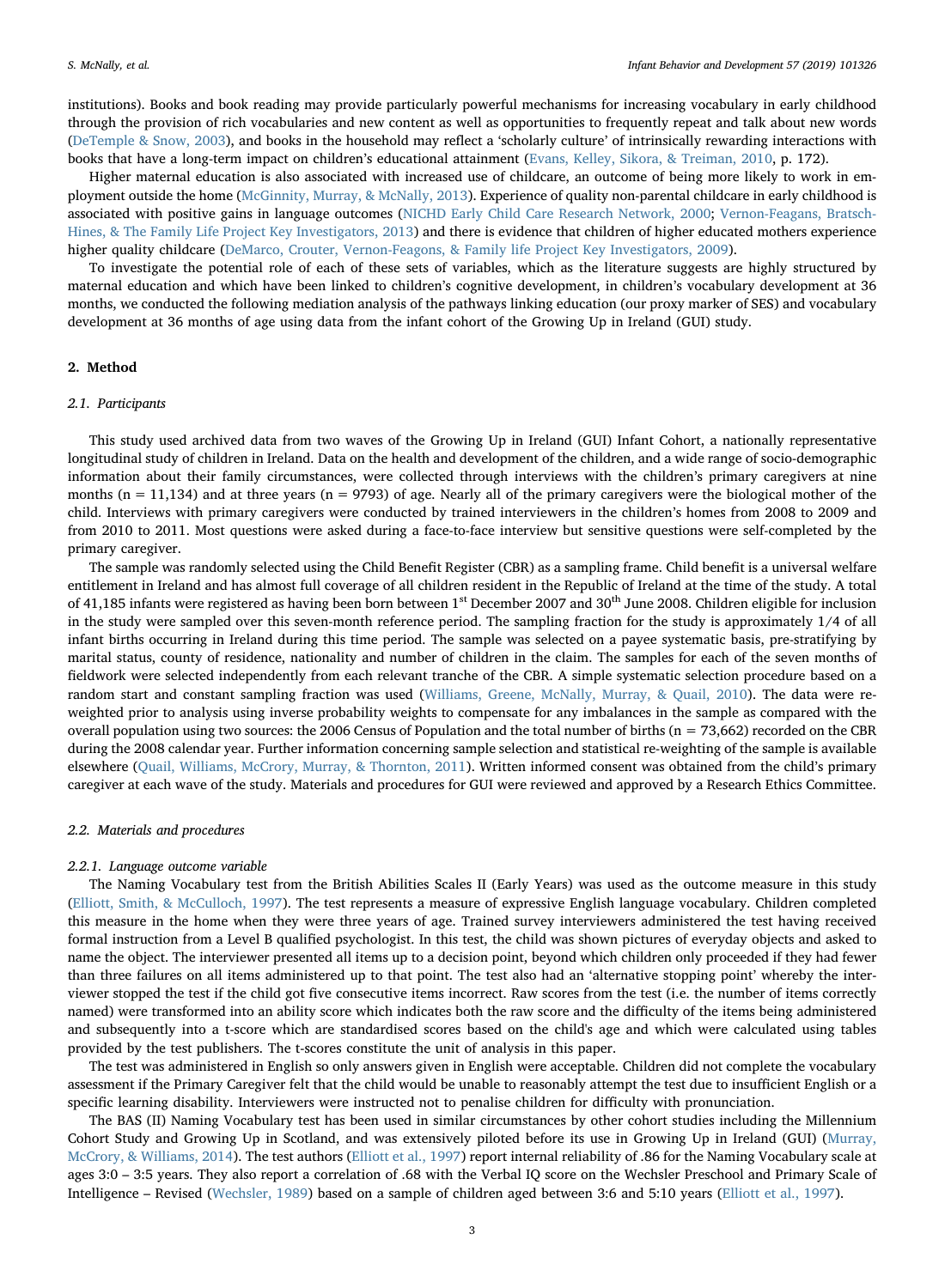institutions). Books and book reading may provide particularly powerful mechanisms for increasing vocabulary in early childhood through the provision of rich vocabularies and new content as well as opportunities to frequently repeat and talk about new words ([DeTemple & Snow, 2003](#page-11-30)), and books in the household may reflect a 'scholarly culture' of intrinsically rewarding interactions with books that have a long-term impact on children's educational attainment [\(Evans, Kelley, Sikora, & Treiman, 2010](#page-11-31), p. 172).

Higher maternal education is also associated with increased use of childcare, an outcome of being more likely to work in employment outside the home [\(McGinnity, Murray, & McNally, 2013\)](#page-12-12). Experience of quality non-parental childcare in early childhood is associated with positive gains in language outcomes [\(NICHD Early Child Care Research Network, 2000;](#page-12-13) [Vernon-Feagans, Bratsch-](#page-12-14)[Hines, & The Family Life Project Key Investigators, 2013](#page-12-14)) and there is evidence that children of higher educated mothers experience higher quality childcare ([DeMarco, Crouter, Vernon-Feagons, & Family life Project Key Investigators, 2009\)](#page-11-32).

To investigate the potential role of each of these sets of variables, which as the literature suggests are highly structured by maternal education and which have been linked to children's cognitive development, in children's vocabulary development at 36 months, we conducted the following mediation analysis of the pathways linking education (our proxy marker of SES) and vocabulary development at 36 months of age using data from the infant cohort of the Growing Up in Ireland (GUI) study.

# 2. Method

# 2.1. Participants

This study used archived data from two waves of the Growing Up in Ireland (GUI) Infant Cohort, a nationally representative longitudinal study of children in Ireland. Data on the health and development of the children, and a wide range of socio-demographic information about their family circumstances, were collected through interviews with the children's primary caregivers at nine months ( $n = 11,134$ ) and at three years ( $n = 9793$ ) of age. Nearly all of the primary caregivers were the biological mother of the child. Interviews with primary caregivers were conducted by trained interviewers in the children's homes from 2008 to 2009 and from 2010 to 2011. Most questions were asked during a face-to-face interview but sensitive questions were self-completed by the primary caregiver.

The sample was randomly selected using the Child Benefit Register (CBR) as a sampling frame. Child benefit is a universal welfare entitlement in Ireland and has almost full coverage of all children resident in the Republic of Ireland at the time of the study. A total of 41,185 infants were registered as having been born between 1<sup>st</sup> December 2007 and 30<sup>th</sup> June 2008. Children eligible for inclusion in the study were sampled over this seven-month reference period. The sampling fraction for the study is approximately 1/4 of all infant births occurring in Ireland during this time period. The sample was selected on a payee systematic basis, pre-stratifying by marital status, county of residence, nationality and number of children in the claim. The samples for each of the seven months of fieldwork were selected independently from each relevant tranche of the CBR. A simple systematic selection procedure based on a random start and constant sampling fraction was used ([Williams, Greene, McNally, Murray, & Quail, 2010\)](#page-12-15). The data were reweighted prior to analysis using inverse probability weights to compensate for any imbalances in the sample as compared with the overall population using two sources: the 2006 Census of Population and the total number of births ( $n = 73,662$ ) recorded on the CBR during the 2008 calendar year. Further information concerning sample selection and statistical re-weighting of the sample is available elsewhere ([Quail, Williams, McCrory, Murray, & Thornton, 2011\)](#page-12-16). Written informed consent was obtained from the child's primary caregiver at each wave of the study. Materials and procedures for GUI were reviewed and approved by a Research Ethics Committee.

# 2.2. Materials and procedures

#### 2.2.1. Language outcome variable

The Naming Vocabulary test from the British Abilities Scales II (Early Years) was used as the outcome measure in this study ([Elliott, Smith, & McCulloch, 1997\)](#page-11-33). The test represents a measure of expressive English language vocabulary. Children completed this measure in the home when they were three years of age. Trained survey interviewers administered the test having received formal instruction from a Level B qualified psychologist. In this test, the child was shown pictures of everyday objects and asked to name the object. The interviewer presented all items up to a decision point, beyond which children only proceeded if they had fewer than three failures on all items administered up to that point. The test also had an 'alternative stopping point' whereby the interviewer stopped the test if the child got five consecutive items incorrect. Raw scores from the test (i.e. the number of items correctly named) were transformed into an ability score which indicates both the raw score and the difficulty of the items being administered and subsequently into a t-score which are standardised scores based on the child's age and which were calculated using tables provided by the test publishers. The t-scores constitute the unit of analysis in this paper.

The test was administered in English so only answers given in English were acceptable. Children did not complete the vocabulary assessment if the Primary Caregiver felt that the child would be unable to reasonably attempt the test due to insufficient English or a specific learning disability. Interviewers were instructed not to penalise children for difficulty with pronunciation.

The BAS (II) Naming Vocabulary test has been used in similar circumstances by other cohort studies including the Millennium Cohort Study and Growing Up in Scotland, and was extensively piloted before its use in Growing Up in Ireland (GUI) ([Murray,](#page-12-17) [McCrory, & Williams, 2014](#page-12-17)). The test authors ([Elliott et al., 1997\)](#page-11-33) report internal reliability of .86 for the Naming Vocabulary scale at ages 3:0 – 3:5 years. They also report a correlation of .68 with the Verbal IQ score on the Wechsler Preschool and Primary Scale of Intelligence – Revised [\(Wechsler, 1989](#page-12-18)) based on a sample of children aged between 3:6 and 5:10 years [\(Elliott et al., 1997](#page-11-33)).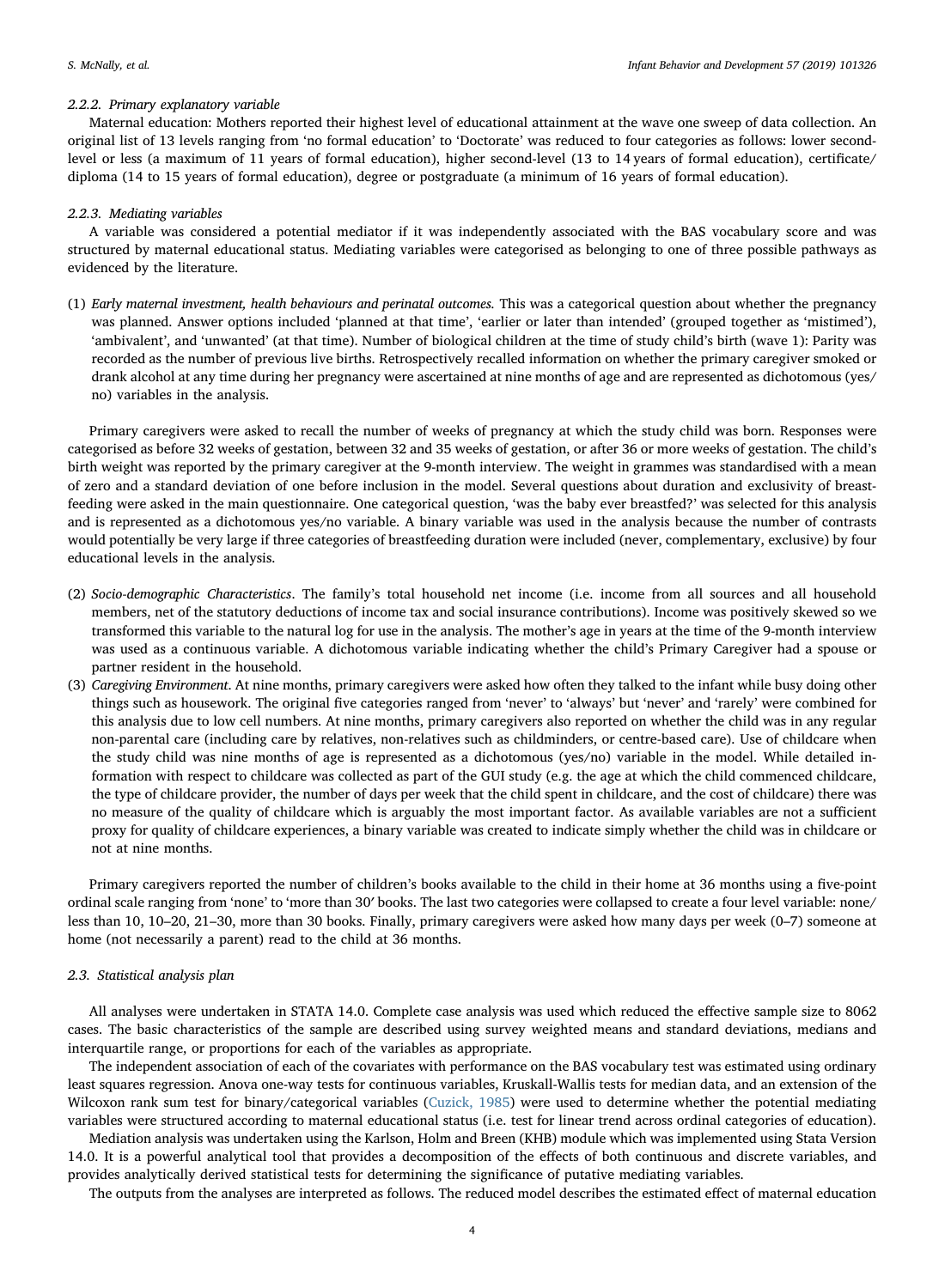# 2.2.2. Primary explanatory variable

Maternal education: Mothers reported their highest level of educational attainment at the wave one sweep of data collection. An original list of 13 levels ranging from 'no formal education' to 'Doctorate' was reduced to four categories as follows: lower secondlevel or less (a maximum of 11 years of formal education), higher second-level (13 to 14 years of formal education), certificate/ diploma (14 to 15 years of formal education), degree or postgraduate (a minimum of 16 years of formal education).

# 2.2.3. Mediating variables

A variable was considered a potential mediator if it was independently associated with the BAS vocabulary score and was structured by maternal educational status. Mediating variables were categorised as belonging to one of three possible pathways as evidenced by the literature.

(1) Early maternal investment, health behaviours and perinatal outcomes. This was a categorical question about whether the pregnancy was planned. Answer options included 'planned at that time', 'earlier or later than intended' (grouped together as 'mistimed'), 'ambivalent', and 'unwanted' (at that time). Number of biological children at the time of study child's birth (wave 1): Parity was recorded as the number of previous live births. Retrospectively recalled information on whether the primary caregiver smoked or drank alcohol at any time during her pregnancy were ascertained at nine months of age and are represented as dichotomous (yes/ no) variables in the analysis.

Primary caregivers were asked to recall the number of weeks of pregnancy at which the study child was born. Responses were categorised as before 32 weeks of gestation, between 32 and 35 weeks of gestation, or after 36 or more weeks of gestation. The child's birth weight was reported by the primary caregiver at the 9-month interview. The weight in grammes was standardised with a mean of zero and a standard deviation of one before inclusion in the model. Several questions about duration and exclusivity of breastfeeding were asked in the main questionnaire. One categorical question, 'was the baby ever breastfed?' was selected for this analysis and is represented as a dichotomous yes/no variable. A binary variable was used in the analysis because the number of contrasts would potentially be very large if three categories of breastfeeding duration were included (never, complementary, exclusive) by four educational levels in the analysis.

- (2) Socio-demographic Characteristics. The family's total household net income (i.e. income from all sources and all household members, net of the statutory deductions of income tax and social insurance contributions). Income was positively skewed so we transformed this variable to the natural log for use in the analysis. The mother's age in years at the time of the 9-month interview was used as a continuous variable. A dichotomous variable indicating whether the child's Primary Caregiver had a spouse or partner resident in the household.
- (3) Caregiving Environment. At nine months, primary caregivers were asked how often they talked to the infant while busy doing other things such as housework. The original five categories ranged from 'never' to 'always' but 'never' and 'rarely' were combined for this analysis due to low cell numbers. At nine months, primary caregivers also reported on whether the child was in any regular non-parental care (including care by relatives, non-relatives such as childminders, or centre-based care). Use of childcare when the study child was nine months of age is represented as a dichotomous (yes/no) variable in the model. While detailed information with respect to childcare was collected as part of the GUI study (e.g. the age at which the child commenced childcare, the type of childcare provider, the number of days per week that the child spent in childcare, and the cost of childcare) there was no measure of the quality of childcare which is arguably the most important factor. As available variables are not a sufficient proxy for quality of childcare experiences, a binary variable was created to indicate simply whether the child was in childcare or not at nine months.

Primary caregivers reported the number of children's books available to the child in their home at 36 months using a five-point ordinal scale ranging from 'none' to 'more than 30′ books. The last two categories were collapsed to create a four level variable: none/ less than 10, 10–20, 21–30, more than 30 books. Finally, primary caregivers were asked how many days per week (0–7) someone at home (not necessarily a parent) read to the child at 36 months.

# 2.3. Statistical analysis plan

All analyses were undertaken in STATA 14.0. Complete case analysis was used which reduced the effective sample size to 8062 cases. The basic characteristics of the sample are described using survey weighted means and standard deviations, medians and interquartile range, or proportions for each of the variables as appropriate.

The independent association of each of the covariates with performance on the BAS vocabulary test was estimated using ordinary least squares regression. Anova one-way tests for continuous variables, Kruskall-Wallis tests for median data, and an extension of the Wilcoxon rank sum test for binary/categorical variables ([Cuzick, 1985\)](#page-11-34) were used to determine whether the potential mediating variables were structured according to maternal educational status (i.e. test for linear trend across ordinal categories of education).

Mediation analysis was undertaken using the Karlson, Holm and Breen (KHB) module which was implemented using Stata Version 14.0. It is a powerful analytical tool that provides a decomposition of the effects of both continuous and discrete variables, and provides analytically derived statistical tests for determining the significance of putative mediating variables.

The outputs from the analyses are interpreted as follows. The reduced model describes the estimated effect of maternal education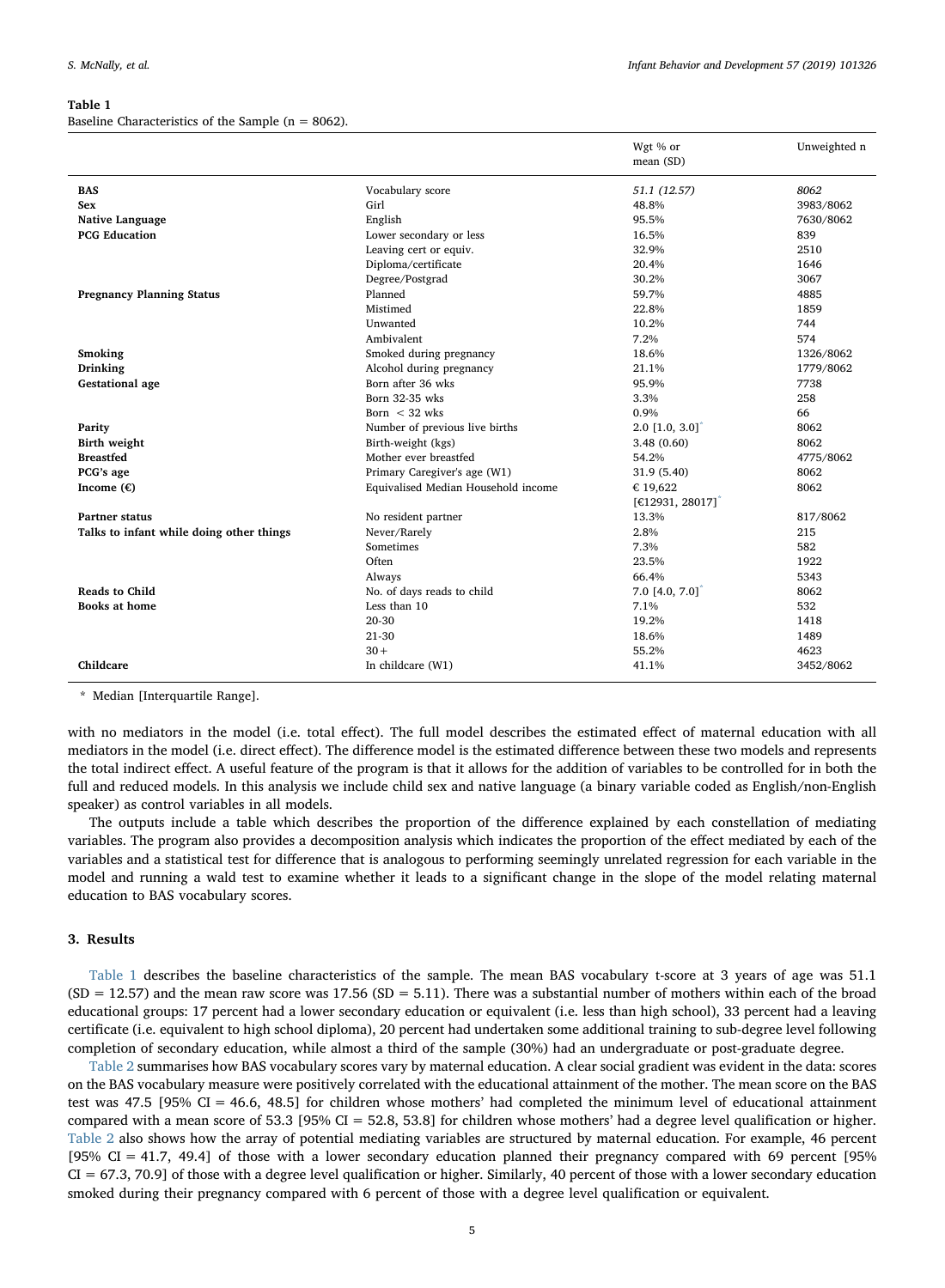# <span id="page-4-0"></span>Table 1

Baseline Characteristics of the Sample (n = 8062).

|                                          |                                     | Wgt % or<br>mean (SD)            | Unweighted n |
|------------------------------------------|-------------------------------------|----------------------------------|--------------|
| <b>BAS</b>                               | Vocabulary score                    | 51.1 (12.57)                     | 8062         |
| Sex                                      | Girl                                | 48.8%                            | 3983/8062    |
| Native Language                          | English                             | 95.5%                            | 7630/8062    |
| <b>PCG Education</b>                     | Lower secondary or less             | 16.5%                            | 839          |
|                                          | Leaving cert or equiv.              | 32.9%                            | 2510         |
|                                          | Diploma/certificate                 | 20.4%                            | 1646         |
|                                          | Degree/Postgrad                     | 30.2%                            | 3067         |
| <b>Pregnancy Planning Status</b>         | Planned                             | 59.7%                            | 4885         |
|                                          | Mistimed                            | 22.8%                            | 1859         |
|                                          | Unwanted                            | 10.2%                            | 744          |
|                                          | Ambivalent                          | 7.2%                             | 574          |
| Smoking                                  | Smoked during pregnancy             | 18.6%                            | 1326/8062    |
| Drinking                                 | Alcohol during pregnancy            | 21.1%                            | 1779/8062    |
| <b>Gestational</b> age                   | Born after 36 wks                   | 95.9%                            | 7738         |
|                                          | Born 32-35 wks                      | 3.3%                             | 258          |
|                                          | Born $<$ 32 wks                     | 0.9%                             | 66           |
| Parity                                   | Number of previous live births      | $2.0$ [1.0, $3.0$ ] <sup>*</sup> | 8062         |
| <b>Birth weight</b>                      | Birth-weight (kgs)                  | 3.48(0.60)                       | 8062         |
| <b>Breastfed</b>                         | Mother ever breastfed               | 54.2%                            | 4775/8062    |
| PCG's age                                | Primary Caregiver's age (W1)        | 31.9 (5.40)                      | 8062         |
| Income $(\epsilon)$                      | Equivalised Median Household income | € 19,622                         | 8062         |
|                                          |                                     | [€12931, 28017] <sup>*</sup>     |              |
| <b>Partner status</b>                    | No resident partner                 | 13.3%                            | 817/8062     |
| Talks to infant while doing other things | Never/Rarely                        | 2.8%                             | 215          |
|                                          | <b>Sometimes</b>                    | 7.3%                             | 582          |
|                                          | Often                               | 23.5%                            | 1922         |
|                                          | Always                              | 66.4%                            | 5343         |
| <b>Reads to Child</b>                    | No. of days reads to child          | $7.0$ [4.0, $7.0$ ]              | 8062         |
| <b>Books at home</b>                     | Less than 10                        | 7.1%                             | 532          |
|                                          | 20-30                               | 19.2%                            | 1418         |
|                                          | 21-30                               | 18.6%                            | 1489         |
|                                          | $30 +$                              | 55.2%                            | 4623         |
| Childcare                                | In childcare (W1)                   | 41.1%                            | 3452/8062    |

<span id="page-4-1"></span>Median [Interquartile Range].

with no mediators in the model (i.e. total effect). The full model describes the estimated effect of maternal education with all mediators in the model (i.e. direct effect). The difference model is the estimated difference between these two models and represents the total indirect effect. A useful feature of the program is that it allows for the addition of variables to be controlled for in both the full and reduced models. In this analysis we include child sex and native language (a binary variable coded as English/non-English speaker) as control variables in all models.

The outputs include a table which describes the proportion of the difference explained by each constellation of mediating variables. The program also provides a decomposition analysis which indicates the proportion of the effect mediated by each of the variables and a statistical test for difference that is analogous to performing seemingly unrelated regression for each variable in the model and running a wald test to examine whether it leads to a significant change in the slope of the model relating maternal education to BAS vocabulary scores.

# 3. Results

[Table 1](#page-4-0) describes the baseline characteristics of the sample. The mean BAS vocabulary t-score at 3 years of age was 51.1  $(SD = 12.57)$  and the mean raw score was 17.56  $(SD = 5.11)$ . There was a substantial number of mothers within each of the broad educational groups: 17 percent had a lower secondary education or equivalent (i.e. less than high school), 33 percent had a leaving certificate (i.e. equivalent to high school diploma), 20 percent had undertaken some additional training to sub-degree level following completion of secondary education, while almost a third of the sample (30%) had an undergraduate or post-graduate degree.

[Table 2](#page-5-0) summarises how BAS vocabulary scores vary by maternal education. A clear social gradient was evident in the data: scores on the BAS vocabulary measure were positively correlated with the educational attainment of the mother. The mean score on the BAS test was 47.5 [95% CI = 46.6, 48.5] for children whose mothers' had completed the minimum level of educational attainment compared with a mean score of 53.3 [95% CI = 52.8, 53.8] for children whose mothers' had a degree level qualification or higher. [Table 2](#page-5-0) also shows how the array of potential mediating variables are structured by maternal education. For example, 46 percent [95% CI = 41.7, 49.4] of those with a lower secondary education planned their pregnancy compared with 69 percent [95%  $CI = 67.3, 70.9$  of those with a degree level qualification or higher. Similarly, 40 percent of those with a lower secondary education smoked during their pregnancy compared with 6 percent of those with a degree level qualification or equivalent.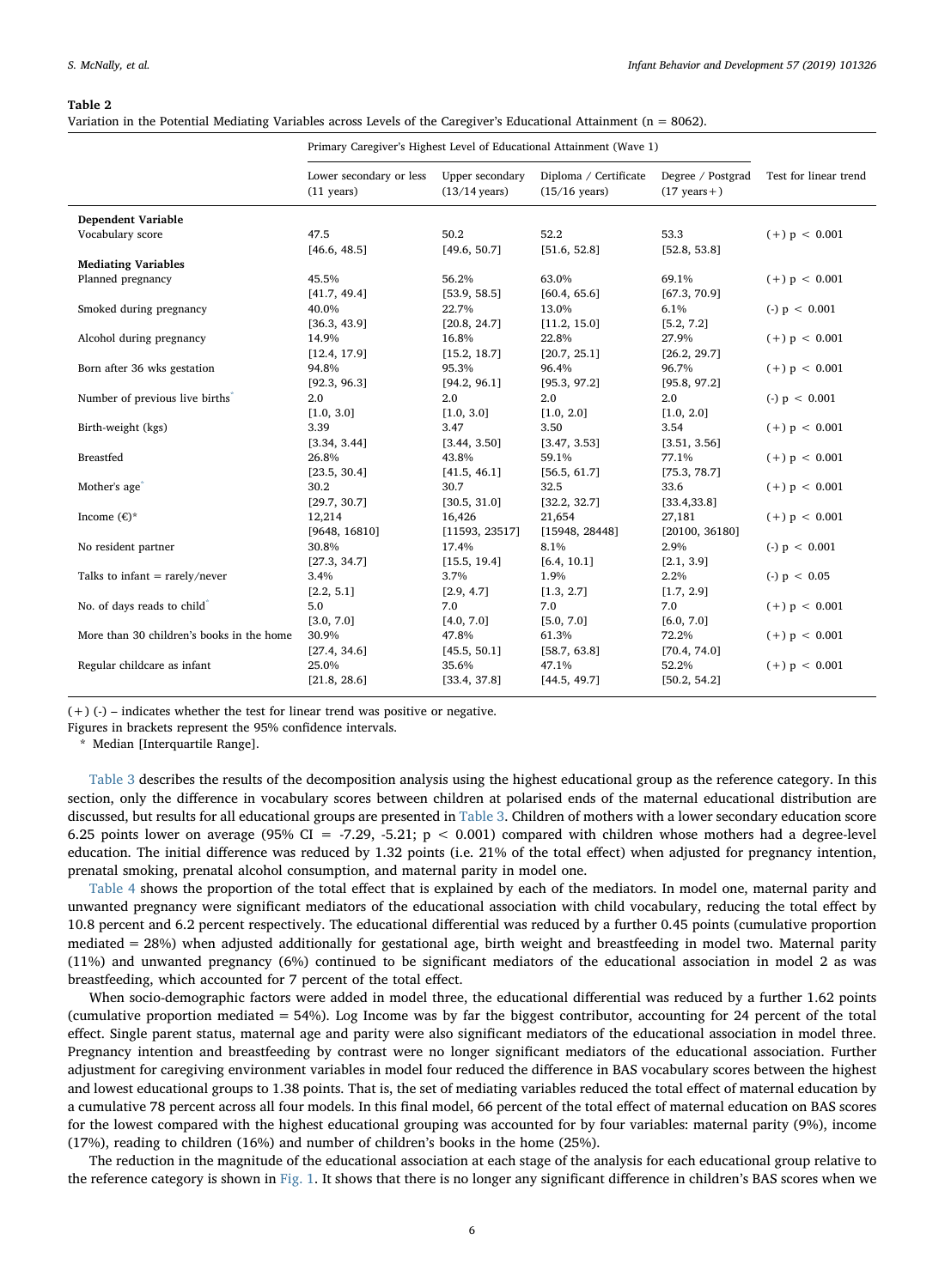## <span id="page-5-0"></span>Table 2

Variation in the Potential Mediating Variables across Levels of the Caregiver's Educational Attainment (n = 8062).

|                                             | Primary Caregiver's Highest Level of Educational Attainment (Wave 1) |                                            |                                                  |                                              |                       |
|---------------------------------------------|----------------------------------------------------------------------|--------------------------------------------|--------------------------------------------------|----------------------------------------------|-----------------------|
|                                             | Lower secondary or less<br>$(11 \text{ years})$                      | Upper secondary<br>$(13/14 \text{ years})$ | Diploma / Certificate<br>$(15/16 \text{ years})$ | Degree / Postgrad<br>$(17 \text{ years} + )$ | Test for linear trend |
| <b>Dependent Variable</b>                   |                                                                      |                                            |                                                  |                                              |                       |
| Vocabulary score                            | 47.5                                                                 | 50.2                                       | 52.2                                             | 53.3                                         | $(+) p < 0.001$       |
|                                             | [46.6, 48.5]                                                         | [49.6, 50.7]                               | [51.6, 52.8]                                     | [52.8, 53.8]                                 |                       |
| <b>Mediating Variables</b>                  |                                                                      |                                            |                                                  |                                              |                       |
| Planned pregnancy                           | 45.5%                                                                | 56.2%                                      | 63.0%                                            | 69.1%                                        | $(+) p < 0.001$       |
|                                             | [41.7, 49.4]                                                         | [53.9, 58.5]                               | [60.4, 65.6]                                     | [67.3, 70.9]                                 |                       |
| Smoked during pregnancy                     | 40.0%                                                                | 22.7%                                      | 13.0%                                            | 6.1%                                         | $(-)$ p < 0.001       |
|                                             | [36.3, 43.9]                                                         | [20.8, 24.7]                               | [11.2, 15.0]                                     | [5.2, 7.2]                                   |                       |
| Alcohol during pregnancy                    | 14.9%                                                                | 16.8%                                      | 22.8%                                            | 27.9%                                        | $(+)$ p < 0.001       |
|                                             | [12.4, 17.9]                                                         | [15.2, 18.7]                               | [20.7, 25.1]                                     | [26.2, 29.7]                                 |                       |
| Born after 36 wks gestation                 | 94.8%                                                                | 95.3%                                      | 96.4%                                            | 96.7%                                        | $(+)$ p < 0.001       |
|                                             | [92.3, 96.3]                                                         | [94.2, 96.1]                               | [95.3, 97.2]                                     | [95.8, 97.2]                                 |                       |
| Number of previous live births <sup>®</sup> | 2.0                                                                  | 2.0                                        | 2.0                                              | 2.0                                          | $(-)$ p < 0.001       |
|                                             | [1.0, 3.0]                                                           | [1.0, 3.0]                                 | [1.0, 2.0]                                       | [1.0, 2.0]                                   |                       |
| Birth-weight (kgs)                          | 3.39                                                                 | 3.47                                       | 3.50                                             | 3.54                                         | $(+)$ p < 0.001       |
|                                             | [3.34, 3.44]                                                         | [3.44, 3.50]                               | [3.47, 3.53]                                     | [3.51, 3.56]                                 |                       |
| <b>Breastfed</b>                            | 26.8%                                                                | 43.8%                                      | 59.1%                                            | 77.1%                                        | $(+) p < 0.001$       |
|                                             | [23.5, 30.4]                                                         | [41.5, 46.1]                               | [56.5, 61.7]                                     | [75.3, 78.7]                                 |                       |
| Mother's age <sup>®</sup>                   | 30.2                                                                 | 30.7                                       | 32.5                                             | 33.6                                         | $(+) p < 0.001$       |
|                                             | [29.7, 30.7]                                                         | [30.5, 31.0]                               | [32.2, 32.7]                                     | [33.4, 33.8]                                 |                       |
| Income $(\epsilon)^*$                       | 12,214                                                               | 16,426                                     | 21,654                                           | 27,181                                       | $(+)$ p < 0.001       |
|                                             | [9648, 16810]                                                        | [11593, 23517]                             | [15948, 28448]                                   | [20100, 36180]                               |                       |
| No resident partner                         | 30.8%                                                                | 17.4%                                      | 8.1%                                             | 2.9%                                         | $(-)$ p < 0.001       |
|                                             | [27.3, 34.7]                                                         | [15.5, 19.4]                               | [6.4, 10.1]                                      | [2.1, 3.9]                                   |                       |
| Talks to infant $=$ rarely/never            | 3.4%                                                                 | 3.7%                                       | 1.9%                                             | 2.2%                                         | $(-)$ p < 0.05        |
|                                             | [2.2, 5.1]                                                           | [2.9, 4.7]                                 | [1.3, 2.7]                                       | [1.7, 2.9]                                   |                       |
| No. of days reads to child <sup>*</sup>     | 5.0                                                                  | 7.0                                        | 7.0                                              | 7.0                                          | $(+)$ p < 0.001       |
|                                             | [3.0, 7.0]                                                           | [4.0, 7.0]                                 | [5.0, 7.0]                                       | [6.0, 7.0]                                   |                       |
| More than 30 children's books in the home   | 30.9%                                                                | 47.8%                                      | 61.3%                                            | 72.2%                                        | $(+) p < 0.001$       |
|                                             | [27.4, 34.6]                                                         | [45.5, 50.1]                               | [58.7, 63.8]                                     | [70.4, 74.0]                                 |                       |
| Regular childcare as infant                 | 25.0%                                                                | 35.6%                                      | 47.1%                                            | 52.2%                                        | $(+)$ p < 0.001       |
|                                             | [21.8, 28.6]                                                         | [33.4, 37.8]                               | [44.5, 49.7]                                     | [50.2, 54.2]                                 |                       |

 $(+)$  (-) – indicates whether the test for linear trend was positive or negative.

Figures in brackets represent the 95% confidence intervals.

<span id="page-5-1"></span>Median [Interquartile Range].

[Table 3](#page-6-0) describes the results of the decomposition analysis using the highest educational group as the reference category. In this section, only the difference in vocabulary scores between children at polarised ends of the maternal educational distribution are discussed, but results for all educational groups are presented in [Table 3.](#page-6-0) Children of mothers with a lower secondary education score 6.25 points lower on average (95% CI = -7.29, -5.21;  $p < 0.001$ ) compared with children whose mothers had a degree-level education. The initial difference was reduced by 1.32 points (i.e. 21% of the total effect) when adjusted for pregnancy intention, prenatal smoking, prenatal alcohol consumption, and maternal parity in model one.

[Table 4](#page-7-0) shows the proportion of the total effect that is explained by each of the mediators. In model one, maternal parity and unwanted pregnancy were significant mediators of the educational association with child vocabulary, reducing the total effect by 10.8 percent and 6.2 percent respectively. The educational differential was reduced by a further 0.45 points (cumulative proportion mediated = 28%) when adjusted additionally for gestational age, birth weight and breastfeeding in model two. Maternal parity (11%) and unwanted pregnancy (6%) continued to be significant mediators of the educational association in model 2 as was breastfeeding, which accounted for 7 percent of the total effect.

When socio-demographic factors were added in model three, the educational differential was reduced by a further 1.62 points (cumulative proportion mediated  $= 54\%$ ). Log Income was by far the biggest contributor, accounting for 24 percent of the total effect. Single parent status, maternal age and parity were also significant mediators of the educational association in model three. Pregnancy intention and breastfeeding by contrast were no longer significant mediators of the educational association. Further adjustment for caregiving environment variables in model four reduced the difference in BAS vocabulary scores between the highest and lowest educational groups to 1.38 points. That is, the set of mediating variables reduced the total effect of maternal education by a cumulative 78 percent across all four models. In this final model, 66 percent of the total effect of maternal education on BAS scores for the lowest compared with the highest educational grouping was accounted for by four variables: maternal parity (9%), income (17%), reading to children (16%) and number of children's books in the home (25%).

The reduction in the magnitude of the educational association at each stage of the analysis for each educational group relative to the reference category is shown in [Fig. 1](#page-9-0). It shows that there is no longer any significant difference in children's BAS scores when we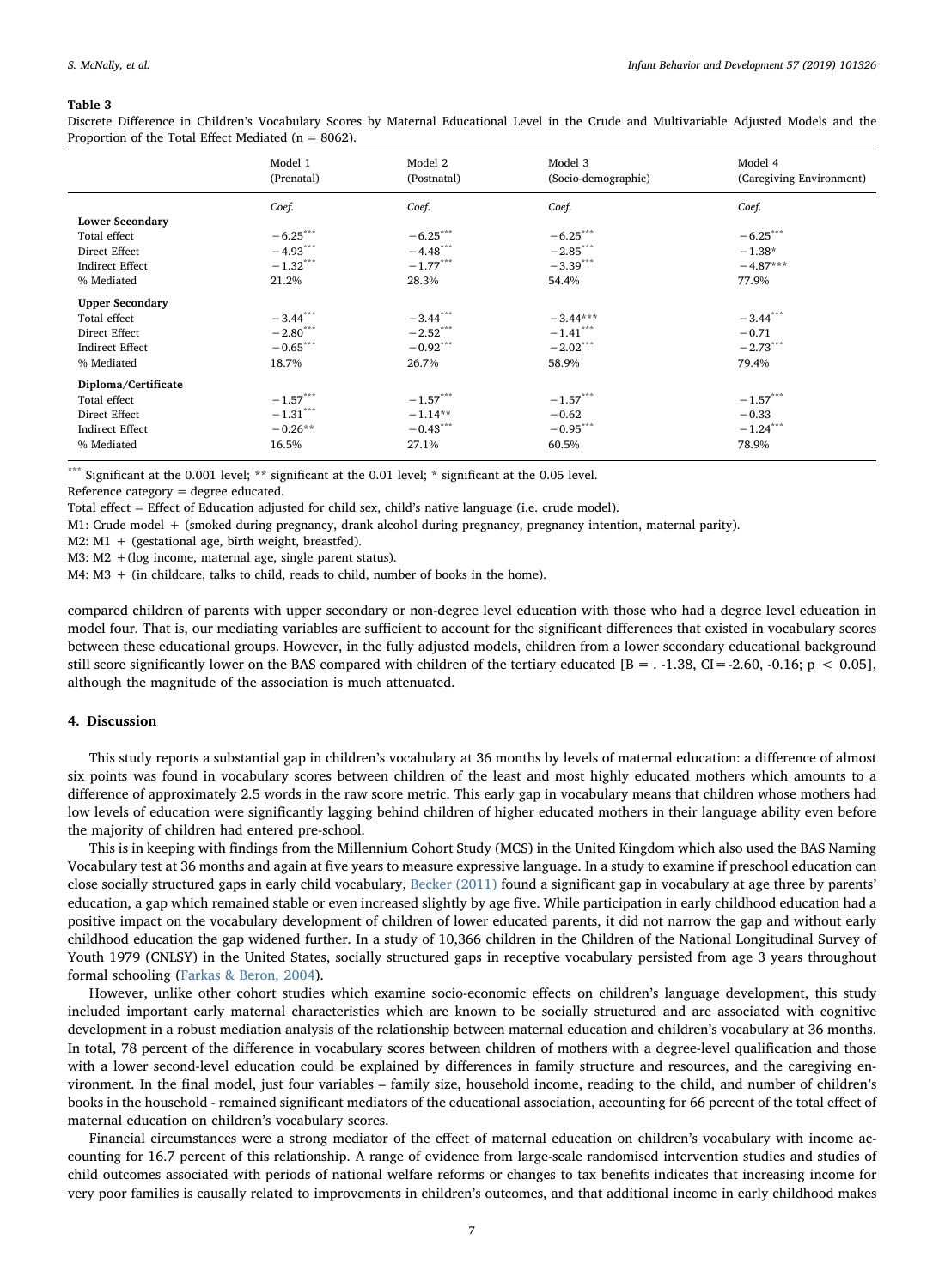#### <span id="page-6-0"></span>Table 3

Discrete Difference in Children's Vocabulary Scores by Maternal Educational Level in the Crude and Multivariable Adjusted Models and the Proportion of the Total Effect Mediated ( $n = 8062$ ).

|                        | Model 1<br>(Prenatal)  | Model 2<br>(Postnatal) | Model 3<br>(Socio-demographic) | Model 4<br>(Caregiving Environment) |
|------------------------|------------------------|------------------------|--------------------------------|-------------------------------------|
|                        |                        |                        |                                |                                     |
|                        | Coef.                  | Coef.                  | Coef.                          | Coef.                               |
| <b>Lower Secondary</b> |                        |                        |                                |                                     |
| Total effect           | $-6.25***$             | $-6.25***$             | $-6.25***$                     | $-6.25***$                          |
| Direct Effect          | $-4.93***$             | $-4.48$ <sup>***</sup> | $-2.85$ ***                    | $-1.38*$                            |
| Indirect Effect        | $-1.32$ ***            | $-1.77***$             | $-3.39***$                     | $-4.87***$                          |
| % Mediated             | 21.2%                  | 28.3%                  | 54.4%                          | 77.9%                               |
| <b>Upper Secondary</b> |                        |                        |                                |                                     |
| Total effect           | $-3.44$ <sup>***</sup> | $-3.44$ <sup>***</sup> | $-3.44***$                     | $-3.44$ ***                         |
| Direct Effect          | $-2.80***$             | $-2.52***$             | $-1.41***$                     | $-0.71$                             |
| <b>Indirect Effect</b> | $-0.65***$             | $-0.92***$             | $-2.02***$                     | $-2.73***$                          |
| % Mediated             | 18.7%                  | 26.7%                  | 58.9%                          | 79.4%                               |
| Diploma/Certificate    |                        |                        |                                |                                     |
| Total effect           | $-1.57***$             | $-1.57***$             | $-1.57***$                     | $-1.57***$                          |
| Direct Effect          | $-1.31$ ***            | $-1.14**$              | $-0.62$                        | $-0.33$                             |
| <b>Indirect Effect</b> | $-0.26**$              | $-0.43***$             | $-0.95***$                     | $-1.24$ ***                         |
| % Mediated             | 16.5%                  | 27.1%                  | 60.5%                          | 78.9%                               |

Significant at the 0.001 level; \*\* significant at the 0.01 level; \* significant at the 0.05 level.

Reference category = degree educated.

Total effect = Effect of Education adjusted for child sex, child's native language (i.e. crude model).

M1: Crude model + (smoked during pregnancy, drank alcohol during pregnancy, pregnancy intention, maternal parity).

M2: M1 + (gestational age, birth weight, breastfed).

M3: M2 +(log income, maternal age, single parent status).

M4: M3 + (in childcare, talks to child, reads to child, number of books in the home).

compared children of parents with upper secondary or non-degree level education with those who had a degree level education in model four. That is, our mediating variables are sufficient to account for the significant differences that existed in vocabulary scores between these educational groups. However, in the fully adjusted models, children from a lower secondary educational background still score significantly lower on the BAS compared with children of the tertiary educated  $[B = .1.38, CI = -2.60, -0.16; p < 0.05]$ , although the magnitude of the association is much attenuated.

# 4. Discussion

This study reports a substantial gap in children's vocabulary at 36 months by levels of maternal education: a difference of almost six points was found in vocabulary scores between children of the least and most highly educated mothers which amounts to a difference of approximately 2.5 words in the raw score metric. This early gap in vocabulary means that children whose mothers had low levels of education were significantly lagging behind children of higher educated mothers in their language ability even before the majority of children had entered pre-school.

This is in keeping with findings from the Millennium Cohort Study (MCS) in the United Kingdom which also used the BAS Naming Vocabulary test at 36 months and again at five years to measure expressive language. In a study to examine if preschool education can close socially structured gaps in early child vocabulary, [Becker \(2011\)](#page-11-35) found a significant gap in vocabulary at age three by parents' education, a gap which remained stable or even increased slightly by age five. While participation in early childhood education had a positive impact on the vocabulary development of children of lower educated parents, it did not narrow the gap and without early childhood education the gap widened further. In a study of 10,366 children in the Children of the National Longitudinal Survey of Youth 1979 (CNLSY) in the United States, socially structured gaps in receptive vocabulary persisted from age 3 years throughout formal schooling [\(Farkas & Beron, 2004\)](#page-11-36).

However, unlike other cohort studies which examine socio-economic effects on children's language development, this study included important early maternal characteristics which are known to be socially structured and are associated with cognitive development in a robust mediation analysis of the relationship between maternal education and children's vocabulary at 36 months. In total, 78 percent of the difference in vocabulary scores between children of mothers with a degree-level qualification and those with a lower second-level education could be explained by differences in family structure and resources, and the caregiving environment. In the final model, just four variables – family size, household income, reading to the child, and number of children's books in the household - remained significant mediators of the educational association, accounting for 66 percent of the total effect of maternal education on children's vocabulary scores.

Financial circumstances were a strong mediator of the effect of maternal education on children's vocabulary with income accounting for 16.7 percent of this relationship. A range of evidence from large-scale randomised intervention studies and studies of child outcomes associated with periods of national welfare reforms or changes to tax benefits indicates that increasing income for very poor families is causally related to improvements in children's outcomes, and that additional income in early childhood makes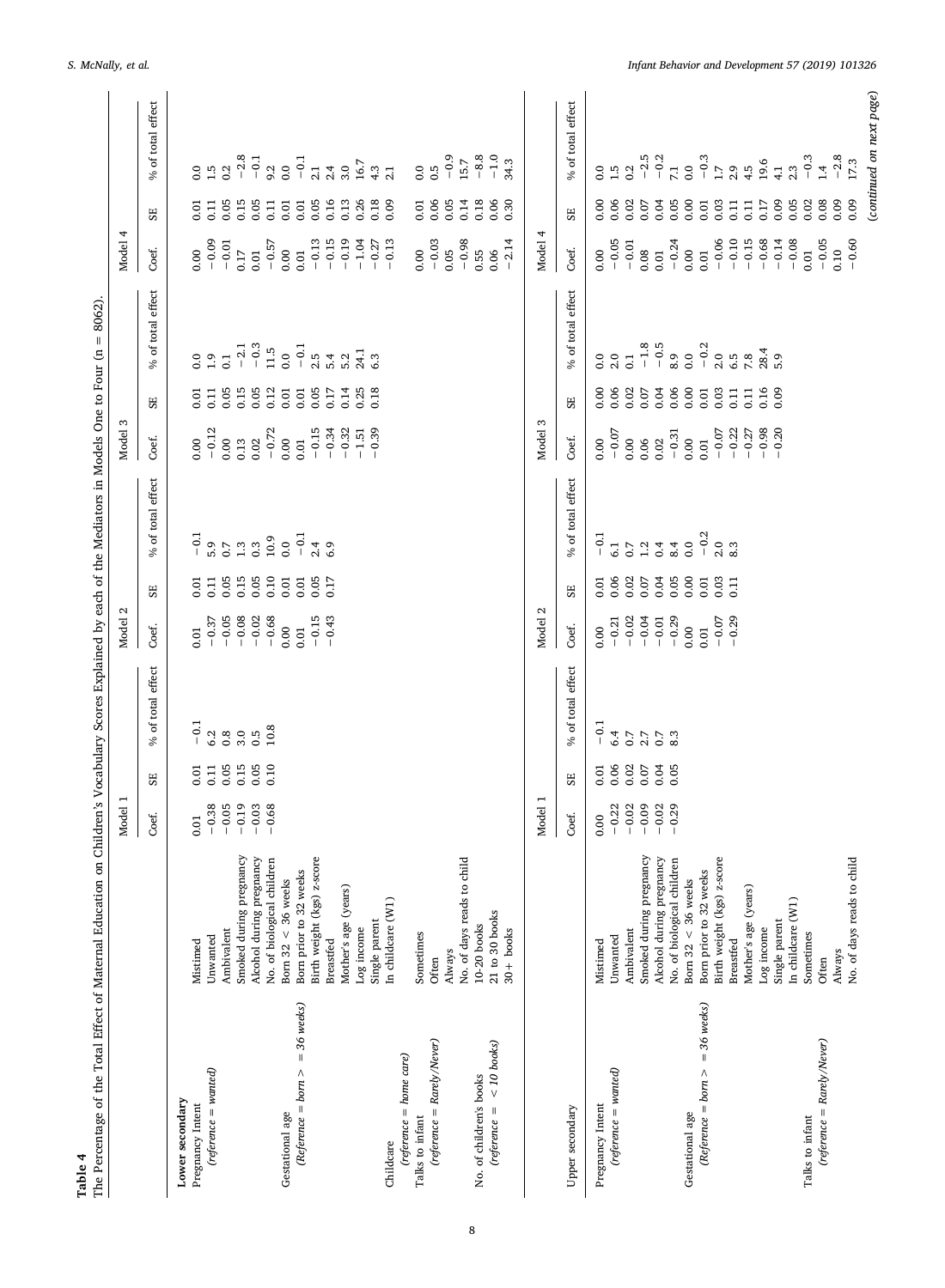<span id="page-7-0"></span>

|                                        |                                                                                   | Model   |                  |                   | Model 2                                     |                  |                                            | Model                                               |                  |                         | Model 4                 |                  |                                                |
|----------------------------------------|-----------------------------------------------------------------------------------|---------|------------------|-------------------|---------------------------------------------|------------------|--------------------------------------------|-----------------------------------------------------|------------------|-------------------------|-------------------------|------------------|------------------------------------------------|
|                                        |                                                                                   | Coef.   | 55               | % of total effect | Coef.                                       | 55               | % of total effect                          | Coef.                                               | SE               | % of total effect       | Coef.                   | SE               | % of total effect                              |
| Lower secondary<br>Pregnancy Intent    | Mistimed                                                                          | 0.01    | 0.01             | $-0.1$            | 0.01                                        | 0.01             | $-0.1$                                     | 0.00                                                | 0.01             |                         | 0.00                    | 0.01             |                                                |
| $(reference = wanted)$                 | Unwanted                                                                          | $-0.38$ | 0.11             |                   | $-0.37$                                     | 0.11             |                                            | $-0.12$                                             | 0.11             | $0.0$<br>1.9            | $-0.09$                 | 0.11             | $0.50$<br>$-1.20$                              |
|                                        | Ambivalent                                                                        | $-0.05$ | 0.05             |                   | $-0.05$                                     | 0.05             |                                            |                                                     | 0.05             | $\overline{0.1}$        | $-0.01$                 | 0.05             |                                                |
|                                        |                                                                                   | $-0.19$ | 0.15             | $0.80$<br>$0.80$  | $-0.08$                                     | 0.15             | $6.50$<br>$0.7$<br>$1.3$                   | $\begin{array}{c} 0.00 \\ 0.13 \\ 0.02 \end{array}$ | 0.15             | $-2.1$                  | 0.17                    | 0.15             | $-2.8$                                         |
|                                        |                                                                                   | $-0.03$ | 0.05             | 0.5               | $-0.02$                                     |                  | 0.3                                        |                                                     | 0.05             | $-0.3$                  | 0.01                    | 0.05             | $-0.1$                                         |
|                                        | Smoked during pregnancy<br>Alcohol during pregnancy<br>No. of biological children | $-0.68$ | 0.10             | 10.8              | $-0.68$                                     | $0.05$<br>$0.10$ | $\begin{array}{c} 10.9 \\ 0.0 \end{array}$ | $-0.72$                                             | 0.12             | $11.5$                  | $-0.57$                 | 0.11             | $9.2$<br>0.0                                   |
| Gestational age                        | Born $32 < 36$ weeks                                                              |         |                  |                   | 0.00                                        | 0.01             |                                            | 0.00                                                | 0.01             | $_{0.0}$                | 0.00                    | $0.01\,$         |                                                |
| $=$ 36 weeks)<br>$(Reference = born >$ | Born prior to 32 weeks                                                            |         |                  |                   | 0.01                                        | $0.01\,$         | $-0.1$                                     | $_{0.01}$                                           | $0.01\,$         | $-0.1$                  | 0.01                    | $0.01\,$         | $-0.1$                                         |
|                                        | Birth weight (kgs) z-score                                                        |         |                  |                   | $-0.15$                                     | 0.05             | $2.4$<br>6.9                               | $-0.15$                                             | 0.05             | $3.42$<br>$3.52$        | $-0.13$                 | 0.05             | 2.1                                            |
|                                        | <b>Breastfed</b>                                                                  |         |                  |                   | $-0.43$                                     | 0.17             |                                            | $-0.34$                                             | 0.17             |                         |                         | 0.16             |                                                |
|                                        | Mother's age (years)                                                              |         |                  |                   |                                             |                  |                                            | $-0.32$                                             | 0.14             |                         | $-0.15$<br>$-0.19$      | 0.13             | $\begin{array}{c} 4 \\ 2.0 \\ 3.0 \end{array}$ |
|                                        | Log income                                                                        |         |                  |                   |                                             |                  |                                            | $-1.51$<br>$-0.39$                                  | 0.25             | 24.1                    | $-1.04$                 | 0.26             | 16.7                                           |
|                                        | Single parent                                                                     |         |                  |                   |                                             |                  |                                            |                                                     | 0.18             | 6.3                     | $-0.27$<br>$-0.13$      | 0.18             | $4.3$<br>2.1                                   |
| Childcare                              | In childcare (W1)                                                                 |         |                  |                   |                                             |                  |                                            |                                                     |                  |                         |                         | 0.09             |                                                |
| $(reference = home \; care)$           |                                                                                   |         |                  |                   |                                             |                  |                                            |                                                     |                  |                         |                         |                  |                                                |
| Talks to infant                        | Sometimes                                                                         |         |                  |                   |                                             |                  |                                            |                                                     |                  |                         | 0.00                    | $0.01$<br>$0.06$ | $\begin{array}{c} 0.5 \\ 0.5 \end{array}$      |
| (reference = Rarely/Never)             | Often                                                                             |         |                  |                   |                                             |                  |                                            |                                                     |                  |                         | $-0.03$<br>$0.05$       |                  |                                                |
|                                        | <b>Always</b>                                                                     |         |                  |                   |                                             |                  |                                            |                                                     |                  |                         |                         | 0.05             | $-0.9$                                         |
|                                        | No. of days reads to chilo                                                        |         |                  |                   |                                             |                  |                                            |                                                     |                  |                         |                         | 0.14             | 15.7                                           |
| No. of children's books                | $10-20$ books                                                                     |         |                  |                   |                                             |                  |                                            |                                                     |                  |                         | $-0.98$<br>0.55<br>0.06 | 0.18             | $-8.8$                                         |
| $<$ 10 books)<br>$(reference =$        | $21$ to $30$ books                                                                |         |                  |                   |                                             |                  |                                            |                                                     |                  |                         |                         | 0.06             | $-1.0$                                         |
|                                        | $30 +$ books                                                                      |         |                  |                   |                                             |                  |                                            |                                                     |                  |                         | $-2.14$                 | 0.30             | 34.3                                           |
|                                        |                                                                                   |         |                  |                   |                                             |                  |                                            |                                                     |                  |                         |                         |                  |                                                |
|                                        |                                                                                   | Model 1 |                  |                   | $\mathbf{\Omega}$<br>Model:                 |                  |                                            | Model 3                                             |                  |                         | 4<br>Model              |                  |                                                |
| Upper secondary                        |                                                                                   | Coef.   | SE               | % of total effect | Coef.                                       | SE               | % of total effect                          | Coef.                                               | SE               | % of total effect       | Coef.                   | $_{\rm SE}$      | % of total effect                              |
|                                        |                                                                                   |         |                  |                   |                                             |                  |                                            |                                                     |                  |                         |                         |                  |                                                |
| Pregnancy Intent                       | Mistimed                                                                          | 0.00    |                  | $\overline{5}$    | 0.00                                        | 0.01             | $-0.1$                                     | 0.00                                                | 0.00             |                         | 0.00                    | 0.00             |                                                |
| $(reference = wanted)$                 | Unwanted                                                                          | $-0.22$ |                  | 6.4               | $-0.21$                                     |                  | 6.1                                        |                                                     |                  | $0.0$<br>$2.0$          |                         | 0.06             |                                                |
|                                        | Ambivalent                                                                        | $-0.02$ | $0.05$<br>$0.02$ | 0.7               | $-0.02$                                     | $0.06$<br>$0.02$ | 0.7                                        | $-0.07$                                             | $0.06$<br>$0.02$ | $\overline{\text{o}}$   | $-0.05$<br>$-0.01$      | 0.02             | $0.50$<br>$1.50$<br>$0.2$                      |
|                                        |                                                                                   | $-0.09$ | 0.07             | 2.7               | $-0.04$                                     | 0.07             | $1.2$<br>0.4                               | $0.06$<br>$0.02$                                    | 0.07             | $-1.8$                  | $0.08$<br>$0.01$        | 0.07             | $-2.5$                                         |
|                                        |                                                                                   | $-0.02$ |                  |                   |                                             | 0.04             |                                            |                                                     | 0.04             |                         |                         | 0.04             | $-0.2$                                         |
|                                        | Smoked during pregnancy<br>Alcohol during pregnancy<br>No. of biological children | $-0.29$ | $0.04$<br>$0.05$ | $0.7$<br>8.3      | $-0.29$                                     | 0.05             | 8.4                                        | $-0.31$                                             | 0.06             | $-0.5$<br>8.9<br>0.0    |                         | 0.05             |                                                |
| Gestational age                        | Born $32 < 36$ weeks                                                              |         |                  |                   |                                             | 0.00             | 0.0                                        | 0.00                                                | 0.00             |                         | $-0.24$<br>0.00         | 0.00             | $\stackrel{7}{\phantom{1}0}$ 0.0               |
| $=$ 36 weeks)<br>$(Reference = born >$ | Born prior to 32 weeks                                                            |         |                  |                   | $\begin{array}{c} 0.00 \\ 0.01 \end{array}$ | 0.01             | $-0.2$                                     | $0.01\,$                                            | 0.01             | $-0.2$                  | 0.01                    | 0.01             | $-0.3$                                         |
|                                        | Birth weight (kgs) z-score                                                        |         |                  |                   | $-0.07$                                     | 0.03             | 2.0                                        | $-0.07$                                             | 0.03             |                         | $-0.06$                 | 0.03             | 1.7                                            |
|                                        | Breastfed                                                                         |         |                  |                   | $-0.29$                                     | 0.11             | 8.3                                        | $-0.22$                                             | 0.11             | $2.5$<br>$6.5$<br>$7.8$ |                         | 0.11             |                                                |
|                                        | Mother's age (years)                                                              |         |                  |                   |                                             |                  |                                            | $-0.27$                                             | 0.11             |                         | $-0.10$<br>$-0.15$      | 0.11             | $2.9$<br>4.5                                   |
|                                        | Log income                                                                        |         |                  |                   |                                             |                  |                                            |                                                     | 0.16             | 28.4                    |                         | 0.17             | 19.6                                           |
|                                        | Single parent                                                                     |         |                  |                   |                                             |                  |                                            | $-0.98$<br>$-0.20$                                  | 0.09             | 5.9                     | $-0.68$<br>$-0.14$      | 0.09             | 4.1                                            |
|                                        | In childcare (W1)                                                                 |         |                  |                   |                                             |                  |                                            |                                                     |                  |                         | $-0.08$                 | 0.05             | 2.3                                            |
| Talks to infant                        | Sometimes                                                                         |         |                  |                   |                                             |                  |                                            |                                                     |                  |                         | 0.01                    | 0.02             | $-0.3$                                         |
| $(reference = Rarely/Never)$           | Often                                                                             |         |                  |                   |                                             |                  |                                            |                                                     |                  |                         |                         | 0.08             | 1.4                                            |
|                                        | Always                                                                            |         |                  |                   |                                             |                  |                                            |                                                     |                  |                         | $-0.05$<br>0.10         | 0.09             | $-2.8$                                         |
|                                        | No. of days reads to chilo                                                        |         |                  |                   |                                             |                  |                                            |                                                     |                  |                         | $-0.60$                 | 0.09             | 17.3                                           |
|                                        |                                                                                   |         |                  |                   |                                             |                  |                                            |                                                     |                  |                         |                         |                  |                                                |
|                                        |                                                                                   |         |                  |                   |                                             |                  |                                            |                                                     |                  |                         |                         |                  | (continued on next page)                       |

# S. McNally, et al. *Infant Behavior and Development 57 (2019) 101326*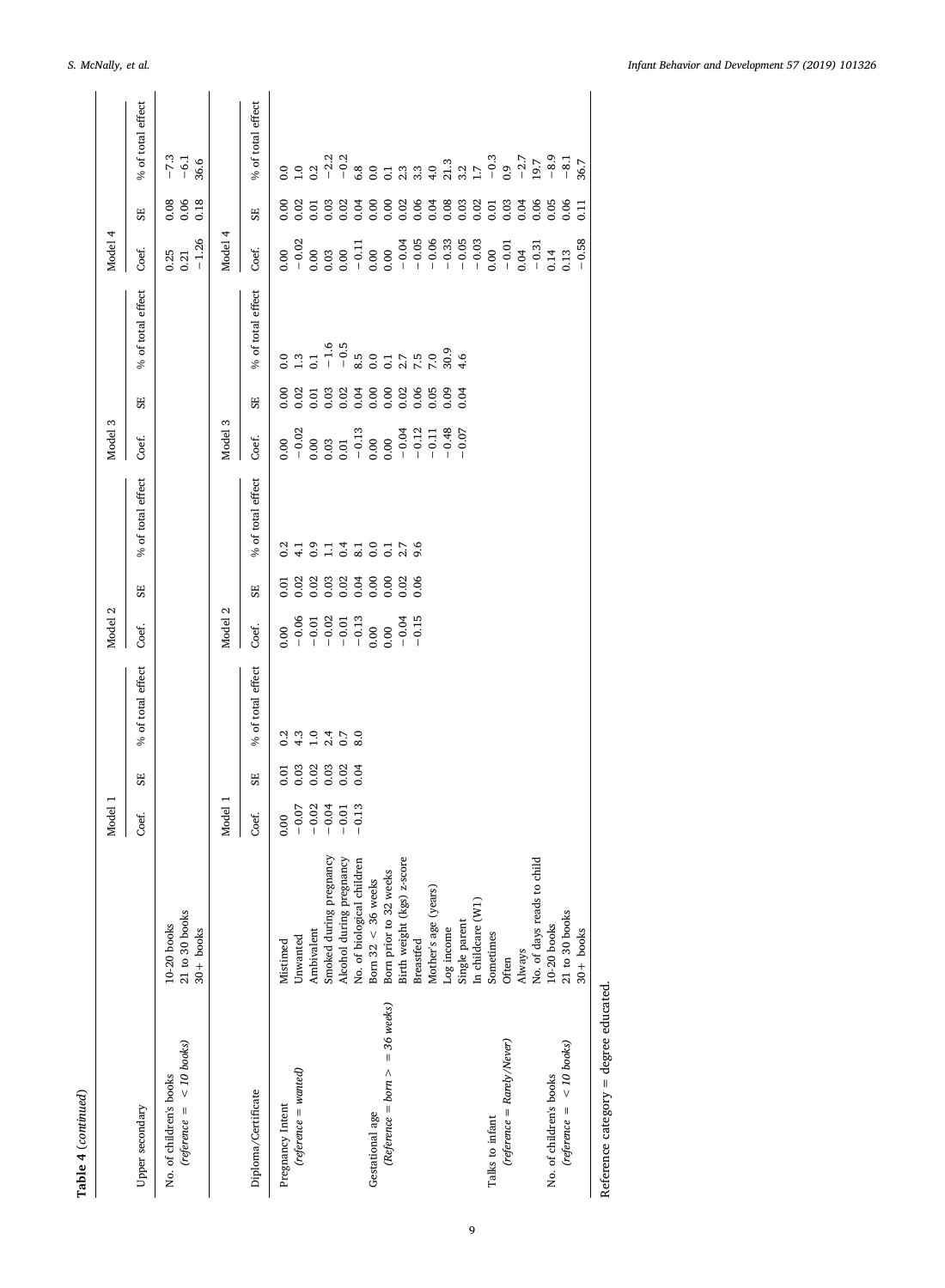| ׅ֚֡֡֡֡֡֡֝ |
|-----------|
|           |
|           |

|                                                        |                                                                                   | Model 1                                                                                   |                                         |                   | Model 2                                                                                                                                                                                                                                                                                                                                         |            |                   | Model 3                                                                                                                                                                                                                                                                                                     |                |                            | Model 4                                              |                      |                          |
|--------------------------------------------------------|-----------------------------------------------------------------------------------|-------------------------------------------------------------------------------------------|-----------------------------------------|-------------------|-------------------------------------------------------------------------------------------------------------------------------------------------------------------------------------------------------------------------------------------------------------------------------------------------------------------------------------------------|------------|-------------------|-------------------------------------------------------------------------------------------------------------------------------------------------------------------------------------------------------------------------------------------------------------------------------------------------------------|----------------|----------------------------|------------------------------------------------------|----------------------|--------------------------|
| Upper secondary                                        |                                                                                   | Coef.                                                                                     | SE                                      | % of total effect | Coef.                                                                                                                                                                                                                                                                                                                                           | 55         | % of total effect | Coef.                                                                                                                                                                                                                                                                                                       | SE             | % of total effect          | Coef.                                                | $\overline{\rm s}$   | % of total effect        |
| $(ref$ erence = < 10 books)<br>No. of children's books | $21$ to $30$ books<br>$10-20$ books<br>$30 +$ books                               |                                                                                           |                                         |                   |                                                                                                                                                                                                                                                                                                                                                 |            |                   |                                                                                                                                                                                                                                                                                                             |                |                            | $\begin{array}{c} 0.25 \\ 0.21 \\ -1.26 \end{array}$ | 0.06<br>0.06<br>0.18 | $-7.3$<br>$-6.1$<br>36.6 |
|                                                        |                                                                                   | Model 1                                                                                   |                                         |                   | Model 2                                                                                                                                                                                                                                                                                                                                         |            |                   | Model 3                                                                                                                                                                                                                                                                                                     |                |                            | Model                                                |                      |                          |
| Diploma/Certificate                                    |                                                                                   | Coef.                                                                                     | SE <sub></sub>                          | % of total effect | Coef.                                                                                                                                                                                                                                                                                                                                           | SF.        | % of total effect | Coef.                                                                                                                                                                                                                                                                                                       | SE <sub></sub> | % of total effect          | Coef.                                                | SE <sub></sub>       | % of total effect        |
| Pregnancy Intent                                       | Mistimed                                                                          |                                                                                           |                                         | 0.2               |                                                                                                                                                                                                                                                                                                                                                 |            | 0.2               |                                                                                                                                                                                                                                                                                                             |                |                            |                                                      |                      |                          |
| $(reference = wanted)$                                 | Unwanted                                                                          | $\begin{array}{r} 0.00 \\ -0.07 \\ -0.02 \\ -0.04 \\ -0.01 \\ -0.01 \\ -0.13 \end{array}$ | 5 8 8 8 8 8<br>5 8 8 8 8 8<br>6 6 6 6 6 |                   | $\begin{array}{r} 0.00 \\ 0.00 \\ -0.01 \\ -0.01 \\ -0.01 \\ -0.01 \\ -0.00 \\ -0.00 \\ -0.01 \\ -0.15 \\ -0.15 \\ -0.15 \\ -0.15 \\ -0.15 \\ -0.15 \\ -0.15 \\ -0.15 \\ -0.15 \\ -0.15 \\ -0.15 \\ -0.15 \\ -0.15 \\ -0.15 \\ -0.15 \\ -0.15 \\ -0.15 \\ -0.15 \\ -0.15 \\ -0.15 \\ -0.15 \\ -0.15 \\ -0.15 \\ -0.15 \\ -0.15 \\ -0.15 \\ -0.$ | 5383336883 | $\Xi$             | $\begin{array}{r} 0.000\\ -0.02\\ -0.003\\ -0.03\\ 0.03\\ 0.01\\ -0.13\\ -0.00\\ -0.00\\ -0.01\\ -0.04\\ -0.07\\ -0.07\\ -0.07\\ -0.07\\ -0.07\\ -0.07\\ -0.07\\ -0.07\\ -0.07\\ -0.07\\ -0.07\\ -0.07\\ -0.07\\ -0.07\\ -0.07\\ -0.07\\ -0.07\\ -0.07\\ -0.07\\ -0.07\\ -0.07\\ -0.07\\ -0.07\\ -0.07\\ -$ |                | $3.7577884877788487778848$ |                                                      |                      |                          |
|                                                        | Ambivalent                                                                        |                                                                                           |                                         | $\frac{3}{1}$ .0  |                                                                                                                                                                                                                                                                                                                                                 |            | 377707            |                                                                                                                                                                                                                                                                                                             |                |                            |                                                      |                      |                          |
|                                                        |                                                                                   |                                                                                           |                                         | $2.50$<br>$0.70$  |                                                                                                                                                                                                                                                                                                                                                 |            |                   |                                                                                                                                                                                                                                                                                                             |                |                            |                                                      |                      |                          |
|                                                        | Smoked during pregnancy<br>Alcohol during pregnancy<br>No. of biological children |                                                                                           |                                         |                   |                                                                                                                                                                                                                                                                                                                                                 |            |                   |                                                                                                                                                                                                                                                                                                             |                |                            |                                                      |                      |                          |
|                                                        |                                                                                   |                                                                                           |                                         |                   |                                                                                                                                                                                                                                                                                                                                                 |            |                   |                                                                                                                                                                                                                                                                                                             |                |                            |                                                      |                      |                          |
| Gestational age                                        | Born $32 < 36$ weeks                                                              |                                                                                           |                                         |                   |                                                                                                                                                                                                                                                                                                                                                 |            |                   |                                                                                                                                                                                                                                                                                                             |                |                            |                                                      |                      |                          |
| $(Reference = born > = 36 weeks)$                      | Born prior to 32 weeks                                                            |                                                                                           |                                         |                   |                                                                                                                                                                                                                                                                                                                                                 |            |                   |                                                                                                                                                                                                                                                                                                             |                |                            |                                                      |                      |                          |
|                                                        | Birth weight (kgs) z-score                                                        |                                                                                           |                                         |                   |                                                                                                                                                                                                                                                                                                                                                 |            |                   |                                                                                                                                                                                                                                                                                                             |                |                            |                                                      |                      |                          |
|                                                        | <b>Breastfed</b>                                                                  |                                                                                           |                                         |                   |                                                                                                                                                                                                                                                                                                                                                 | 0.06       | 9.6               |                                                                                                                                                                                                                                                                                                             |                |                            |                                                      |                      |                          |
|                                                        | Mother's age (years)                                                              |                                                                                           |                                         |                   |                                                                                                                                                                                                                                                                                                                                                 |            |                   |                                                                                                                                                                                                                                                                                                             |                |                            |                                                      |                      |                          |
|                                                        | Log income                                                                        |                                                                                           |                                         |                   |                                                                                                                                                                                                                                                                                                                                                 |            |                   |                                                                                                                                                                                                                                                                                                             |                |                            |                                                      |                      |                          |
|                                                        | Single parent                                                                     |                                                                                           |                                         |                   |                                                                                                                                                                                                                                                                                                                                                 |            |                   |                                                                                                                                                                                                                                                                                                             |                |                            |                                                      |                      |                          |
|                                                        | In childcare (W1)                                                                 |                                                                                           |                                         |                   |                                                                                                                                                                                                                                                                                                                                                 |            |                   |                                                                                                                                                                                                                                                                                                             |                |                            |                                                      |                      |                          |
| Talks to infant                                        | Sometimes                                                                         |                                                                                           |                                         |                   |                                                                                                                                                                                                                                                                                                                                                 |            |                   |                                                                                                                                                                                                                                                                                                             |                |                            |                                                      |                      |                          |
| $(reference = Rarely/Never)$                           | Often                                                                             |                                                                                           |                                         |                   |                                                                                                                                                                                                                                                                                                                                                 |            |                   |                                                                                                                                                                                                                                                                                                             |                |                            |                                                      |                      |                          |
|                                                        | Always                                                                            |                                                                                           |                                         |                   |                                                                                                                                                                                                                                                                                                                                                 |            |                   |                                                                                                                                                                                                                                                                                                             |                |                            |                                                      |                      |                          |
|                                                        | No. of days reads to child                                                        |                                                                                           |                                         |                   |                                                                                                                                                                                                                                                                                                                                                 |            |                   |                                                                                                                                                                                                                                                                                                             |                |                            |                                                      |                      |                          |
| No. of children's books                                | $10-20$ books                                                                     |                                                                                           |                                         |                   |                                                                                                                                                                                                                                                                                                                                                 |            |                   |                                                                                                                                                                                                                                                                                                             |                |                            |                                                      |                      |                          |
| $(ref$ erence = < 10 books)                            | 21 to 30 books                                                                    |                                                                                           |                                         |                   |                                                                                                                                                                                                                                                                                                                                                 |            |                   |                                                                                                                                                                                                                                                                                                             |                |                            |                                                      |                      |                          |
|                                                        | $30 +$ books                                                                      |                                                                                           |                                         |                   |                                                                                                                                                                                                                                                                                                                                                 |            |                   |                                                                                                                                                                                                                                                                                                             |                |                            |                                                      | $\Xi$                |                          |
|                                                        |                                                                                   |                                                                                           |                                         |                   |                                                                                                                                                                                                                                                                                                                                                 |            |                   |                                                                                                                                                                                                                                                                                                             |                |                            |                                                      |                      |                          |

Reference category = degree educated. Reference category = degree educated.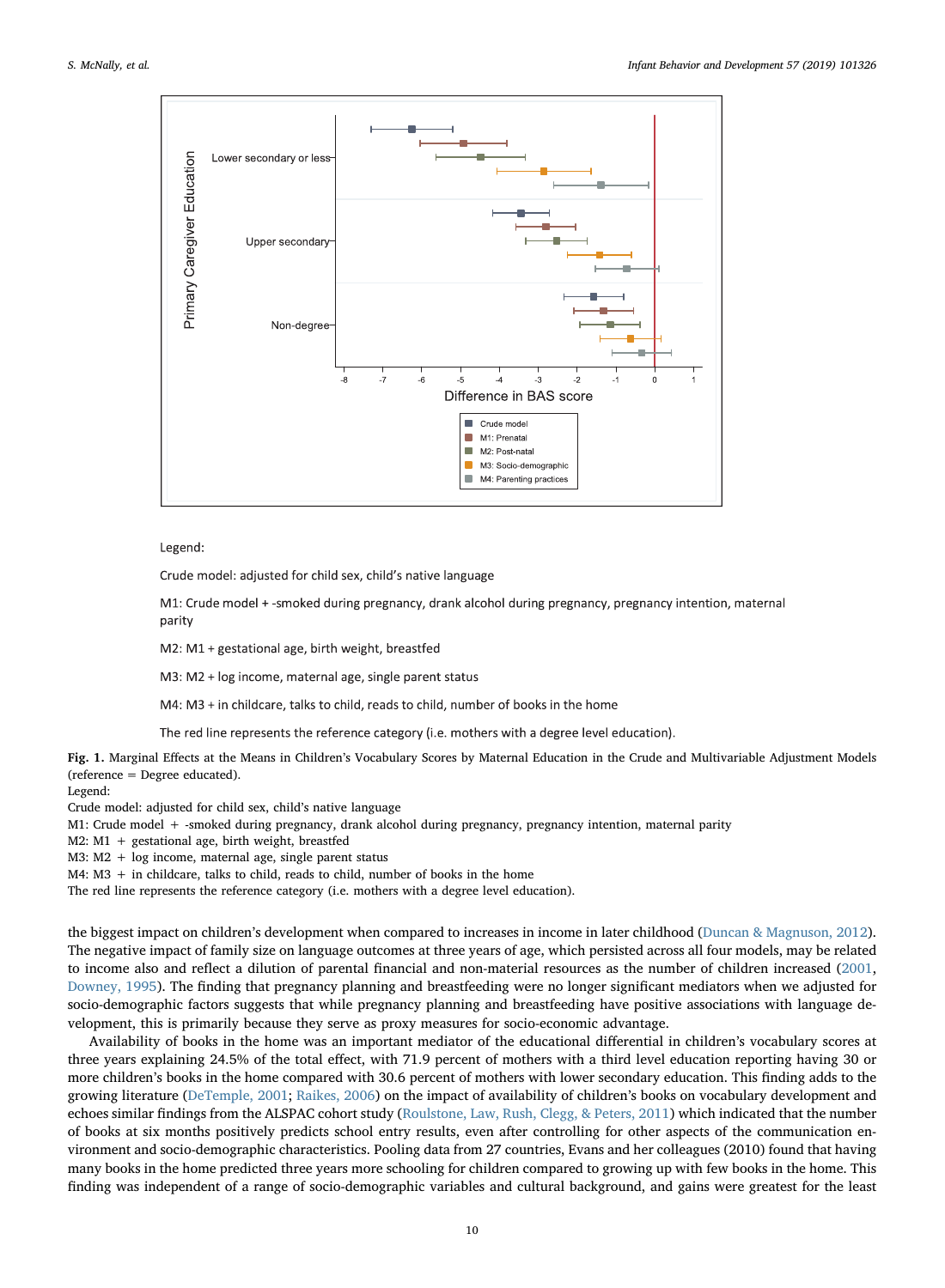<span id="page-9-0"></span>

Legend:

Crude model: adjusted for child sex, child's native language

M1: Crude model +-smoked during pregnancy, drank alcohol during pregnancy, pregnancy intention, maternal parity

M2: M1 + gestational age, birth weight, breastfed

M3: M2 + log income, maternal age, single parent status

M4: M3 + in childcare, talks to child, reads to child, number of books in the home

The red line represents the reference category (i.e. mothers with a degree level education).

Fig. 1. Marginal Effects at the Means in Children's Vocabulary Scores by Maternal Education in the Crude and Multivariable Adjustment Models (reference = Degree educated).

Legend:

Crude model: adjusted for child sex, child's native language

M1: Crude model + -smoked during pregnancy, drank alcohol during pregnancy, pregnancy intention, maternal parity

M2: M1 + gestational age, birth weight, breastfed

M3: M2 + log income, maternal age, single parent status

M4: M3 + in childcare, talks to child, reads to child, number of books in the home

The red line represents the reference category (i.e. mothers with a degree level education).

the biggest impact on children's development when compared to increases in income in later childhood [\(Duncan & Magnuson, 2012](#page-11-37)). The negative impact of family size on language outcomes at three years of age, which persisted across all four models, may be related to income also and reflect a dilution of parental financial and non-material resources as the number of children increased [\(2001,](#page-11-38) [Downey, 1995](#page-11-39)). The finding that pregnancy planning and breastfeeding were no longer significant mediators when we adjusted for socio-demographic factors suggests that while pregnancy planning and breastfeeding have positive associations with language development, this is primarily because they serve as proxy measures for socio-economic advantage.

Availability of books in the home was an important mediator of the educational differential in children's vocabulary scores at three years explaining 24.5% of the total effect, with 71.9 percent of mothers with a third level education reporting having 30 or more children's books in the home compared with 30.6 percent of mothers with lower secondary education. This finding adds to the growing literature [\(DeTemple, 2001](#page-11-40); [Raikes, 2006](#page-12-19)) on the impact of availability of children's books on vocabulary development and echoes similar findings from the ALSPAC cohort study ([Roulstone, Law, Rush, Clegg, & Peters, 2011](#page-12-20)) which indicated that the number of books at six months positively predicts school entry results, even after controlling for other aspects of the communication environment and socio-demographic characteristics. Pooling data from 27 countries, Evans and her colleagues (2010) found that having many books in the home predicted three years more schooling for children compared to growing up with few books in the home. This finding was independent of a range of socio-demographic variables and cultural background, and gains were greatest for the least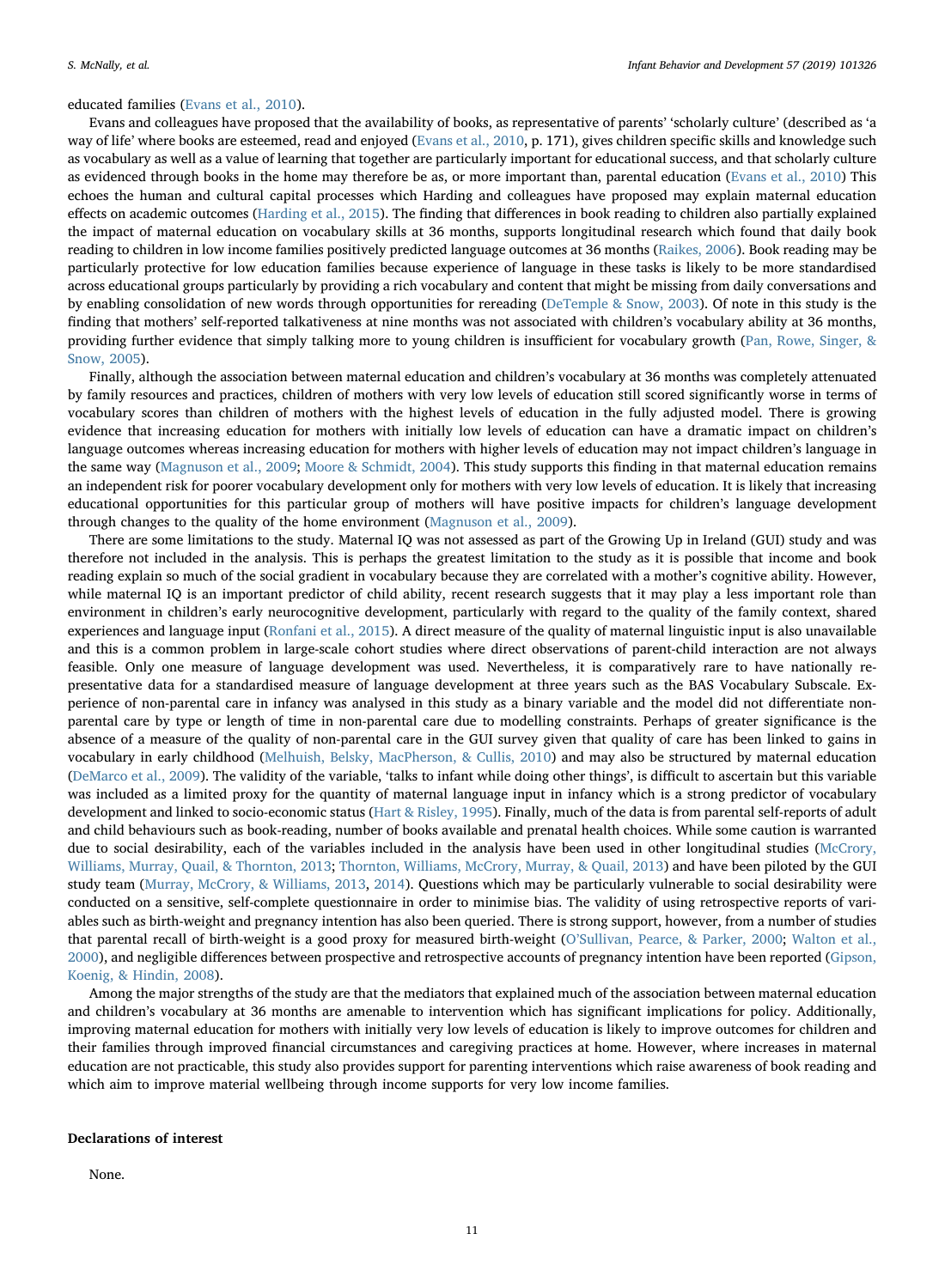#### educated families ([Evans et al., 2010\)](#page-11-31).

Evans and colleagues have proposed that the availability of books, as representative of parents' 'scholarly culture' (described as 'a way of life' where books are esteemed, read and enjoyed [\(Evans et al., 2010](#page-11-31), p. 171), gives children specific skills and knowledge such as vocabulary as well as a value of learning that together are particularly important for educational success, and that scholarly culture as evidenced through books in the home may therefore be as, or more important than, parental education [\(Evans et al., 2010\)](#page-11-31) This echoes the human and cultural capital processes which Harding and colleagues have proposed may explain maternal education effects on academic outcomes [\(Harding et al., 2015\)](#page-11-29). The finding that differences in book reading to children also partially explained the impact of maternal education on vocabulary skills at 36 months, supports longitudinal research which found that daily book reading to children in low income families positively predicted language outcomes at 36 months [\(Raikes, 2006\)](#page-12-19). Book reading may be particularly protective for low education families because experience of language in these tasks is likely to be more standardised across educational groups particularly by providing a rich vocabulary and content that might be missing from daily conversations and by enabling consolidation of new words through opportunities for rereading ([DeTemple & Snow, 2003](#page-11-30)). Of note in this study is the finding that mothers' self-reported talkativeness at nine months was not associated with children's vocabulary ability at 36 months, providing further evidence that simply talking more to young children is insufficient for vocabulary growth ([Pan, Rowe, Singer, &](#page-12-21) [Snow, 2005](#page-12-21)).

Finally, although the association between maternal education and children's vocabulary at 36 months was completely attenuated by family resources and practices, children of mothers with very low levels of education still scored significantly worse in terms of vocabulary scores than children of mothers with the highest levels of education in the fully adjusted model. There is growing evidence that increasing education for mothers with initially low levels of education can have a dramatic impact on children's language outcomes whereas increasing education for mothers with higher levels of education may not impact children's language in the same way ([Magnuson et al., 2009](#page-11-28); [Moore & Schmidt, 2004\)](#page-12-22). This study supports this finding in that maternal education remains an independent risk for poorer vocabulary development only for mothers with very low levels of education. It is likely that increasing educational opportunities for this particular group of mothers will have positive impacts for children's language development through changes to the quality of the home environment ([Magnuson et al., 2009](#page-11-28)).

There are some limitations to the study. Maternal IQ was not assessed as part of the Growing Up in Ireland (GUI) study and was therefore not included in the analysis. This is perhaps the greatest limitation to the study as it is possible that income and book reading explain so much of the social gradient in vocabulary because they are correlated with a mother's cognitive ability. However, while maternal IQ is an important predictor of child ability, recent research suggests that it may play a less important role than environment in children's early neurocognitive development, particularly with regard to the quality of the family context, shared experiences and language input [\(Ronfani et al., 2015\)](#page-12-23). A direct measure of the quality of maternal linguistic input is also unavailable and this is a common problem in large-scale cohort studies where direct observations of parent-child interaction are not always feasible. Only one measure of language development was used. Nevertheless, it is comparatively rare to have nationally representative data for a standardised measure of language development at three years such as the BAS Vocabulary Subscale. Experience of non-parental care in infancy was analysed in this study as a binary variable and the model did not differentiate nonparental care by type or length of time in non-parental care due to modelling constraints. Perhaps of greater significance is the absence of a measure of the quality of non-parental care in the GUI survey given that quality of care has been linked to gains in vocabulary in early childhood (Melhuish, [Belsky, MacPherson, & Cullis, 2010\)](#page-12-24) and may also be structured by maternal education ([DeMarco et al., 2009](#page-11-32)). The validity of the variable, 'talks to infant while doing other things', is difficult to ascertain but this variable was included as a limited proxy for the quantity of maternal language input in infancy which is a strong predictor of vocabulary development and linked to socio-economic status [\(Hart & Risley, 1995\)](#page-11-25). Finally, much of the data is from parental self-reports of adult and child behaviours such as book-reading, number of books available and prenatal health choices. While some caution is warranted due to social desirability, each of the variables included in the analysis have been used in other longitudinal studies ([McCrory,](#page-12-25) [Williams, Murray, Quail, & Thornton, 2013](#page-12-25); [Thornton, Williams, McCrory, Murray, & Quail, 2013\)](#page-12-26) and have been piloted by the GUI study team [\(Murray, McCrory, & Williams, 2013,](#page-12-27) [2014\)](#page-12-17). Questions which may be particularly vulnerable to social desirability were conducted on a sensitive, self-complete questionnaire in order to minimise bias. The validity of using retrospective reports of variables such as birth-weight and pregnancy intention has also been queried. There is strong support, however, from a number of studies that parental recall of birth-weight is a good proxy for measured birth-weight (O'[Sullivan, Pearce, & Parker, 2000](#page-12-28); [Walton et al.,](#page-12-29) [2000\)](#page-12-29), and negligible differences between prospective and retrospective accounts of pregnancy intention have been reported ([Gipson,](#page-11-41) [Koenig, & Hindin, 2008\)](#page-11-41).

Among the major strengths of the study are that the mediators that explained much of the association between maternal education and children's vocabulary at 36 months are amenable to intervention which has significant implications for policy. Additionally, improving maternal education for mothers with initially very low levels of education is likely to improve outcomes for children and their families through improved financial circumstances and caregiving practices at home. However, where increases in maternal education are not practicable, this study also provides support for parenting interventions which raise awareness of book reading and which aim to improve material wellbeing through income supports for very low income families.

# Declarations of interest

None.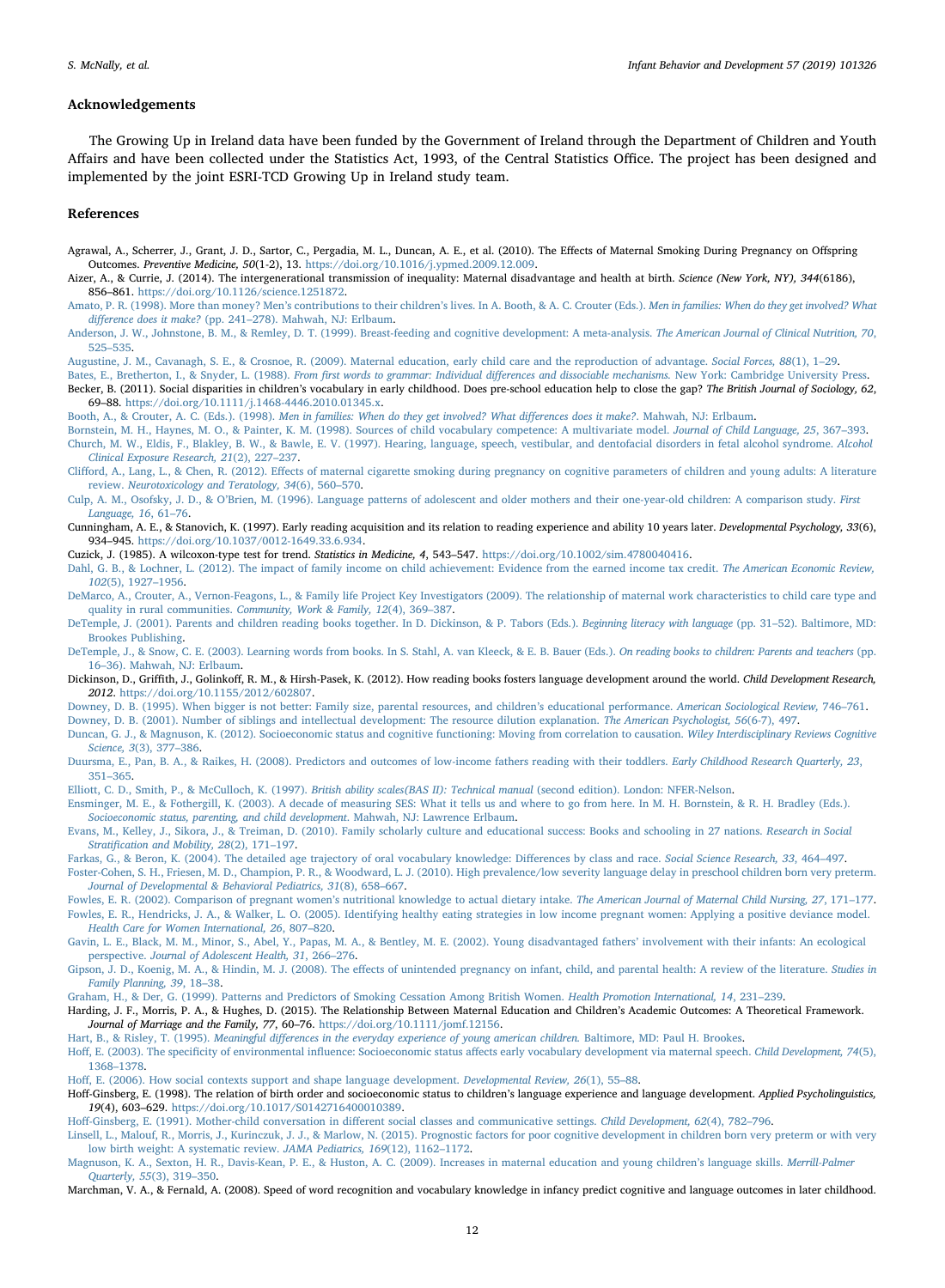# Acknowledgements

The Growing Up in Ireland data have been funded by the Government of Ireland through the Department of Children and Youth Affairs and have been collected under the Statistics Act, 1993, of the Central Statistics Office. The project has been designed and implemented by the joint ESRI-TCD Growing Up in Ireland study team.

#### References

<span id="page-11-10"></span>Agrawal, A., Scherrer, J., Grant, J. D., Sartor, C., Pergadia, M. L., Duncan, A. E., et al. (2010). The Effects of Maternal Smoking During Pregnancy on Offspring Outcomes. Preventive Medicine, 50(1-2), 13. <https://doi.org/10.1016/j.ypmed.2009.12.009>.

<span id="page-11-8"></span>Aizer, A., & Currie, J. (2014). The intergenerational transmission of inequality: Maternal disadvantage and health at birth. Science (New York, NY), 344(6186), 856–861. [https://doi.org/10.1126/science.1251872.](https://doi.org/10.1126/science.1251872)

<span id="page-11-22"></span>Amato, P. R. (1998). More than money? Men's contributions to their children's lives. In A. Booth, & A. C. Crouter (Eds.). [Men in families: When do they get involved? What](http://refhub.elsevier.com/S0163-6383(18)30268-6/sbref0015) difference does it make? (pp. 241–[278\). Mahwah, NJ: Erlbaum](http://refhub.elsevier.com/S0163-6383(18)30268-6/sbref0015).

<span id="page-11-16"></span>[Anderson, J. W., Johnstone, B. M., & Remley, D. T. \(1999\). Breast-feeding and cognitive development: A meta-analysis.](http://refhub.elsevier.com/S0163-6383(18)30268-6/sbref0020) The American Journal of Clinical Nutrition, 70, 525–[535.](http://refhub.elsevier.com/S0163-6383(18)30268-6/sbref0020)

<span id="page-11-26"></span>[Augustine, J. M., Cavanagh, S. E., & Crosnoe, R. \(2009\). Maternal education, early child care and the reproduction of advantage.](http://refhub.elsevier.com/S0163-6383(18)30268-6/sbref0025) Social Forces, 88(1), 1–29.

<span id="page-11-35"></span><span id="page-11-0"></span>[Bates, E., Bretherton, I., & Snyder, L. \(1988\).](http://refhub.elsevier.com/S0163-6383(18)30268-6/sbref0030) From first words to grammar: Individual differences and dissociable mechanisms. New York: Cambridge University Press. Becker, B. (2011). Social disparities in children's vocabulary in early childhood. Does pre-school education help to close the gap? The British Journal of Sociology, 62, 69–88. [https://doi.org/10.1111/j.1468-4446.2010.01345.x.](https://doi.org/10.1111/j.1468-4446.2010.01345.x)

<span id="page-11-23"></span>Booth, A., & Crouter, A. C. (Eds.). (1998). [Men in families: When do they get involved? What di](http://refhub.elsevier.com/S0163-6383(18)30268-6/sbref0040)fferences does it make?. Mahwah, NJ: Erlbaum.

<span id="page-11-13"></span><span id="page-11-6"></span>[Bornstein, M. H., Haynes, M. O., & Painter, K. M. \(1998\). Sources of child vocabulary competence: A multivariate model.](http://refhub.elsevier.com/S0163-6383(18)30268-6/sbref0045) Journal of Child Language, 25, 367–393. [Church, M. W., Eldis, F., Blakley, B. W., & Bawle, E. V. \(1997\). Hearing, language, speech, vestibular, and dentofacial disorders in fetal alcohol syndrome.](http://refhub.elsevier.com/S0163-6383(18)30268-6/sbref0050) Alcohol

[Clinical Exposure Research, 21](http://refhub.elsevier.com/S0163-6383(18)30268-6/sbref0050)(2), 227–237.

<span id="page-11-12"></span>Clifford, A., Lang, L., & Chen, R. (2012). Eff[ects of maternal cigarette smoking during pregnancy on cognitive parameters of children and young adults: A literature](http://refhub.elsevier.com/S0163-6383(18)30268-6/sbref0055) review. [Neurotoxicology and Teratology, 34](http://refhub.elsevier.com/S0163-6383(18)30268-6/sbref0055)(6), 560–570.

- <span id="page-11-20"></span>Culp, A. M., Osofsky, J. D., & O'[Brien, M. \(1996\). Language patterns of adolescent and older mothers and their one-year-old children: A comparison study.](http://refhub.elsevier.com/S0163-6383(18)30268-6/sbref0060) First [Language, 16](http://refhub.elsevier.com/S0163-6383(18)30268-6/sbref0060), 61–76.
- <span id="page-11-3"></span>Cunningham, A. E., & Stanovich, K. (1997). Early reading acquisition and its relation to reading experience and ability 10 years later. Developmental Psychology, 33(6), 934–945. <https://doi.org/10.1037/0012-1649.33.6.934>.

<span id="page-11-34"></span>Cuzick, J. (1985). A wilcoxon-type test for trend. Statistics in Medicine, 4, 543–547. <https://doi.org/10.1002/sim.4780040416>.

<span id="page-11-19"></span>[Dahl, G. B., & Lochner, L. \(2012\). The impact of family income on child achievement: Evidence from the earned income tax credit.](http://refhub.elsevier.com/S0163-6383(18)30268-6/sbref0075) The American Economic Review, 102[\(5\), 1927](http://refhub.elsevier.com/S0163-6383(18)30268-6/sbref0075)–1956.

<span id="page-11-32"></span>[DeMarco, A., Crouter, A., Vernon-Feagons, L., & Family life Project Key Investigators \(2009\). The relationship of maternal work characteristics to child care type and](http://refhub.elsevier.com/S0163-6383(18)30268-6/sbref0080) quality in rural communities. [Community, Work & Family, 12](http://refhub.elsevier.com/S0163-6383(18)30268-6/sbref0080)(4), 369–387.

- <span id="page-11-40"></span>[DeTemple, J. \(2001\). Parents and children reading books together. In D. Dickinson, & P. Tabors \(Eds.\).](http://refhub.elsevier.com/S0163-6383(18)30268-6/sbref0085) Beginning literacy with language (pp. 31–52). Baltimore, MD: [Brookes Publishing](http://refhub.elsevier.com/S0163-6383(18)30268-6/sbref0085).
- <span id="page-11-30"></span>[DeTemple, J., & Snow, C. E. \(2003\). Learning words from books. In S. Stahl, A. van Kleeck, & E. B. Bauer \(Eds.\).](http://refhub.elsevier.com/S0163-6383(18)30268-6/sbref0090) On reading books to children: Parents and teachers (pp. 16–[36\). Mahwah, NJ: Erlbaum.](http://refhub.elsevier.com/S0163-6383(18)30268-6/sbref0090)
- <span id="page-11-27"></span>Dickinson, D., Griffith, J., Golinkoff, R. M., & Hirsh-Pasek, K. (2012). How reading books fosters language development around the world. Child Development Research, 2012. [https://doi.org/10.1155/2012/602807.](https://doi.org/10.1155/2012/602807)

<span id="page-11-39"></span>[Downey, D. B. \(1995\). When bigger is not better: Family size, parental resources, and children](http://refhub.elsevier.com/S0163-6383(18)30268-6/sbref0100)'s educational performance. American Sociological Review, 746–761.

<span id="page-11-38"></span>[Downey, D. B. \(2001\). Number of siblings and intellectual development: The resource dilution explanation.](http://refhub.elsevier.com/S0163-6383(18)30268-6/sbref0105) The American Psychologist, 56(6-7), 497.

<span id="page-11-37"></span>[Duncan, G. J., & Magnuson, K. \(2012\). Socioeconomic status and cognitive functioning: Moving from correlation to causation.](http://refhub.elsevier.com/S0163-6383(18)30268-6/sbref0110) Wiley Interdisciplinary Reviews Cognitive [Science, 3](http://refhub.elsevier.com/S0163-6383(18)30268-6/sbref0110)(3), 377–386.

<span id="page-11-21"></span>[Duursma, E., Pan, B. A., & Raikes, H. \(2008\). Predictors and outcomes of low-income fathers reading with their toddlers.](http://refhub.elsevier.com/S0163-6383(18)30268-6/sbref0115) Early Childhood Research Quarterly, 23, 351–[365.](http://refhub.elsevier.com/S0163-6383(18)30268-6/sbref0115)

<span id="page-11-33"></span>[Elliott, C. D., Smith, P., & McCulloch, K. \(1997\).](http://refhub.elsevier.com/S0163-6383(18)30268-6/sbref0120) British ability scales(BAS II): Technical manual (second edition). London: NFER-Nelson.

<span id="page-11-4"></span>[Ensminger, M. E., & Fothergill, K. \(2003\). A decade of measuring SES: What it tells us and where to go from here. In M. H. Bornstein, & R. H. Bradley \(Eds.\).](http://refhub.elsevier.com/S0163-6383(18)30268-6/sbref0125) [Socioeconomic status, parenting, and child development](http://refhub.elsevier.com/S0163-6383(18)30268-6/sbref0125). Mahwah, NJ: Lawrence Erlbaum.

<span id="page-11-31"></span>[Evans, M., Kelley, J., Sikora, J., & Treiman, D. \(2010\). Family scholarly culture and educational success: Books and schooling in 27 nations.](http://refhub.elsevier.com/S0163-6383(18)30268-6/sbref0130) Research in Social Stratifi[cation and Mobility, 28](http://refhub.elsevier.com/S0163-6383(18)30268-6/sbref0130)(2), 171–197.

<span id="page-11-36"></span><span id="page-11-15"></span>[Farkas, G., & Beron, K. \(2004\). The detailed age trajectory of oral vocabulary knowledge: Di](http://refhub.elsevier.com/S0163-6383(18)30268-6/sbref0135)fferences by class and race. Social Science Research, 33, 464-497. [Foster-Cohen, S. H., Friesen, M. D., Champion, P. R., & Woodward, L. J. \(2010\). High prevalence/low severity language delay in preschool children born very preterm.](http://refhub.elsevier.com/S0163-6383(18)30268-6/sbref0140)

[Journal of Developmental & Behavioral Pediatrics, 31](http://refhub.elsevier.com/S0163-6383(18)30268-6/sbref0140)(8), 658–667.

<span id="page-11-18"></span><span id="page-11-9"></span>[Fowles, E. R. \(2002\). Comparison of pregnant women](http://refhub.elsevier.com/S0163-6383(18)30268-6/sbref0145)'s nutritional knowledge to actual dietary intake. The American Journal of Maternal Child Nursing, 27, 171–177. [Fowles, E. R., Hendricks, J. A., & Walker, L. O. \(2005\). Identifying healthy eating strategies in low income pregnant women: Applying a positive deviance model.](http://refhub.elsevier.com/S0163-6383(18)30268-6/sbref0150) [Health Care for Women International, 26](http://refhub.elsevier.com/S0163-6383(18)30268-6/sbref0150), 807–820.

<span id="page-11-24"></span>[Gavin, L. E., Black, M. M., Minor, S., Abel, Y., Papas, M. A., & Bentley, M. E. \(2002\). Young disadvantaged fathers](http://refhub.elsevier.com/S0163-6383(18)30268-6/sbref0155)' involvement with their infants: An ecological perspective. [Journal of Adolescent Health, 31](http://refhub.elsevier.com/S0163-6383(18)30268-6/sbref0155), 266–276.

<span id="page-11-41"></span>Gipson, J. D., Koenig, M. A., & Hindin, M. J. (2008). The eff[ects of unintended pregnancy on infant, child, and parental health: A review of the literature.](http://refhub.elsevier.com/S0163-6383(18)30268-6/sbref0160) Studies in [Family Planning, 39](http://refhub.elsevier.com/S0163-6383(18)30268-6/sbref0160), 18–38.

<span id="page-11-11"></span>[Graham, H., & Der, G. \(1999\). Patterns and Predictors of Smoking Cessation Among British Women.](http://refhub.elsevier.com/S0163-6383(18)30268-6/sbref0165) Health Promotion International, 14, 231–239.

<span id="page-11-29"></span>Harding, J. F., Morris, P. A., & Hughes, D. (2015). The Relationship Between Maternal Education and Children's Academic Outcomes: A Theoretical Framework. Journal of Marriage and the Family, 77, 60-76. <https://doi.org/10.1111/jomf.12156>.

<span id="page-11-25"></span>Hart, B., & Risley, T. (1995). Meaningful diff[erences in the everyday experience of young american children.](http://refhub.elsevier.com/S0163-6383(18)30268-6/sbref0175) Baltimore, MD: Paul H. Brookes.

<span id="page-11-17"></span>Hoff, E. (2003). The specificity of environmental influence: Socioeconomic status aff[ects early vocabulary development via maternal speech.](http://refhub.elsevier.com/S0163-6383(18)30268-6/sbref0180) Child Development, 74(5), 1368–[1378.](http://refhub.elsevier.com/S0163-6383(18)30268-6/sbref0180)

<span id="page-11-5"></span>Hoff[, E. \(2006\). How social contexts support and shape language development.](http://refhub.elsevier.com/S0163-6383(18)30268-6/sbref0185) Developmental Review, 26(1), 55–88.

<span id="page-11-2"></span>Hoff-Ginsberg, E. (1998). The relation of birth order and socioeconomic status to children's language experience and language development. Applied Psycholinguistics, 19(4), 603–629. <https://doi.org/10.1017/S0142716400010389>.

<span id="page-11-7"></span>Hoff-Ginsberg, E. (1991). Mother-child conversation in diff[erent social classes and communicative settings.](http://refhub.elsevier.com/S0163-6383(18)30268-6/sbref0195) Child Development, 62(4), 782–796.

<span id="page-11-14"></span>[Linsell, L., Malouf, R., Morris, J., Kurinczuk, J. J., & Marlow, N. \(2015\). Prognostic factors for poor cognitive development in children born very preterm or with very](http://refhub.elsevier.com/S0163-6383(18)30268-6/sbref0200) [low birth weight: A systematic review.](http://refhub.elsevier.com/S0163-6383(18)30268-6/sbref0200) JAMA Pediatrics, 169(12), 1162–1172.

<span id="page-11-28"></span>[Magnuson, K. A., Sexton, H. R., Davis-Kean, P. E., & Huston, A. C. \(2009\). Increases in maternal education and young children](http://refhub.elsevier.com/S0163-6383(18)30268-6/sbref0205)'s language skills. Merrill-Palmer [Quarterly, 55](http://refhub.elsevier.com/S0163-6383(18)30268-6/sbref0205)(3), 319–350.

<span id="page-11-1"></span>Marchman, V. A., & Fernald, A. (2008). Speed of word recognition and vocabulary knowledge in infancy predict cognitive and language outcomes in later childhood.